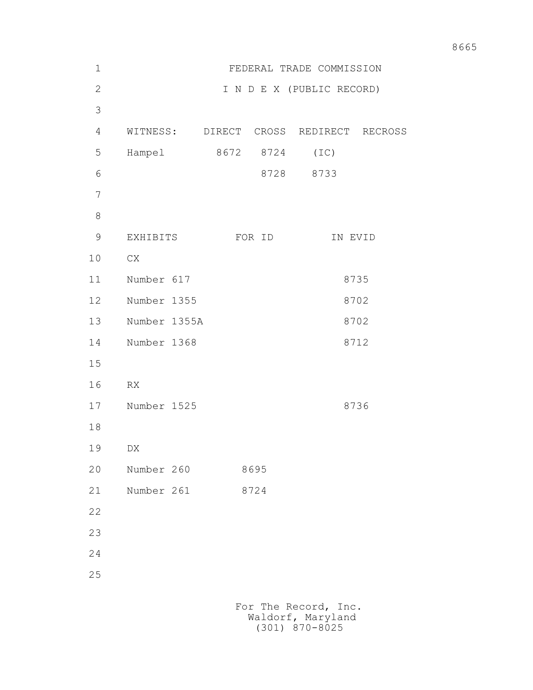| $1\,$          | FEDERAL TRADE COMMISSION                  |  |           |                                        |  |
|----------------|-------------------------------------------|--|-----------|----------------------------------------|--|
| $\mathbf{2}$   |                                           |  |           | I N D E X (PUBLIC RECORD)              |  |
| 3              |                                           |  |           |                                        |  |
| $\overline{4}$ |                                           |  |           | WITNESS: DIRECT CROSS REDIRECT RECROSS |  |
| 5              | Hampel                                    |  | 8672 8724 | (TC)                                   |  |
| 6              |                                           |  | 8728      | 8733                                   |  |
| 7              |                                           |  |           |                                        |  |
| $\,8\,$        |                                           |  |           |                                        |  |
| $\mathsf 9$    | EXHIBITS                                  |  | FOR ID    | IN EVID                                |  |
| 10             | ${\rm CX}$                                |  |           |                                        |  |
| 11             | Number 617                                |  |           | 8735                                   |  |
| 12             | Number 1355                               |  |           | 8702                                   |  |
| 13             | Number 1355A                              |  |           | 8702                                   |  |
| 14             | Number 1368                               |  |           | 8712                                   |  |
| 15             |                                           |  |           |                                        |  |
| 16             | RX                                        |  |           |                                        |  |
| 17             | Number 1525                               |  |           | 8736                                   |  |
| 18             |                                           |  |           |                                        |  |
| 19             | DX                                        |  |           |                                        |  |
| 20             | Number 260                                |  | 8695      |                                        |  |
| 21             | Number 261                                |  | 8724      |                                        |  |
| 22             |                                           |  |           |                                        |  |
| 23             |                                           |  |           |                                        |  |
| 24             |                                           |  |           |                                        |  |
| 25             |                                           |  |           |                                        |  |
|                | For The Record, Inc.<br>Waldorf, Maryland |  |           |                                        |  |

(301) 870-8025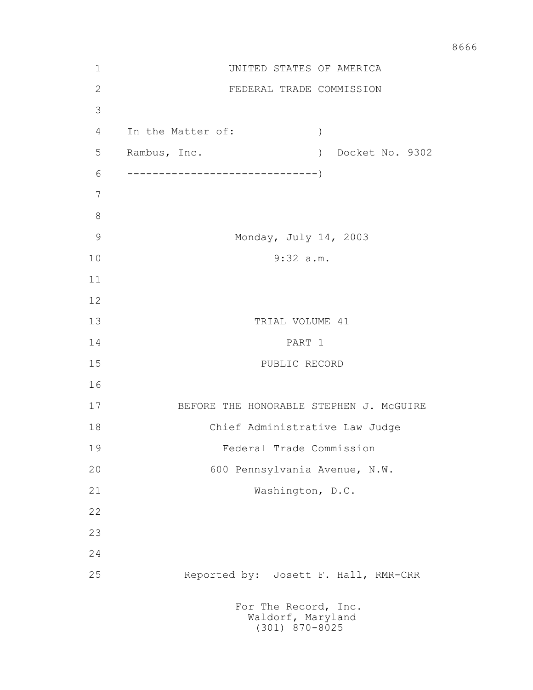| $\mathbf 1$    | UNITED STATES OF AMERICA                            |  |  |  |  |
|----------------|-----------------------------------------------------|--|--|--|--|
| $\mathbf{2}$   | FEDERAL TRADE COMMISSION                            |  |  |  |  |
| 3              |                                                     |  |  |  |  |
| $\overline{4}$ | In the Matter of:<br>$\big)$                        |  |  |  |  |
| 5              | Rambus, Inc.<br>Docket No. 9302<br>$\left( \right)$ |  |  |  |  |
| 6              |                                                     |  |  |  |  |
| 7              |                                                     |  |  |  |  |
| 8              |                                                     |  |  |  |  |
| $\mathcal{G}$  | Monday, July 14, 2003                               |  |  |  |  |
| 10             | 9:32 a.m.                                           |  |  |  |  |
| 11             |                                                     |  |  |  |  |
| 12             |                                                     |  |  |  |  |
| 13             | TRIAL VOLUME 41                                     |  |  |  |  |
| 14             | PART 1                                              |  |  |  |  |
| 15             | PUBLIC RECORD                                       |  |  |  |  |
| 16             |                                                     |  |  |  |  |
| 17             | BEFORE THE HONORABLE STEPHEN J. MCGUIRE             |  |  |  |  |
| 18             | Chief Administrative Law Judge                      |  |  |  |  |
| 19             | Federal Trade Commission                            |  |  |  |  |
| 20             | 600 Pennsylvania Avenue, N.W.                       |  |  |  |  |
| 21             | Washington, D.C.                                    |  |  |  |  |
| 22             |                                                     |  |  |  |  |
| 23             |                                                     |  |  |  |  |
| 24             |                                                     |  |  |  |  |
| 25             | Reported by: Josett F. Hall, RMR-CRR                |  |  |  |  |
|                | For The Record, Inc.<br>Waldorf, Maryland           |  |  |  |  |

(301) 870-8025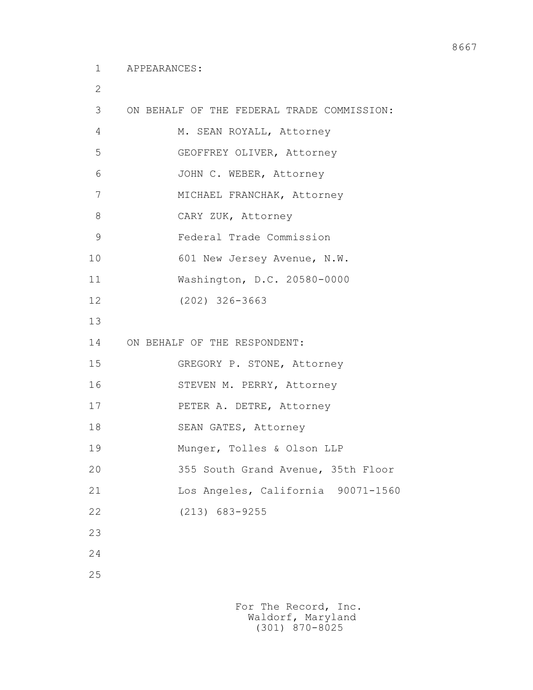2

| 3             | ON BEHALF OF THE FEDERAL TRADE COMMISSION: |
|---------------|--------------------------------------------|
| 4             | M. SEAN ROYALL, Attorney                   |
| 5             | GEOFFREY OLIVER, Attorney                  |
| 6             | JOHN C. WEBER, Attorney                    |
| 7             | MICHAEL FRANCHAK, Attorney                 |
| 8             | CARY ZUK, Attorney                         |
| $\mathcal{G}$ | Federal Trade Commission                   |
| 10            | 601 New Jersey Avenue, N.W.                |
| 11            | Washington, D.C. 20580-0000                |
| 12            | $(202)$ 326-3663                           |
| 13            |                                            |
| 14            | ON BEHALF OF THE RESPONDENT:               |
| 15            | GREGORY P. STONE, Attorney                 |
| 16            | STEVEN M. PERRY, Attorney                  |
| 17            | PETER A. DETRE, Attorney                   |
| 18            | SEAN GATES, Attorney                       |
| 19            | Munger, Tolles & Olson LLP                 |
| 20            | 355 South Grand Avenue, 35th Floor         |
| 21            | Los Angeles, California 90071-1560         |
| 22            | $(213)$ 683-9255                           |
| 23            |                                            |
| 24            |                                            |
| 25            |                                            |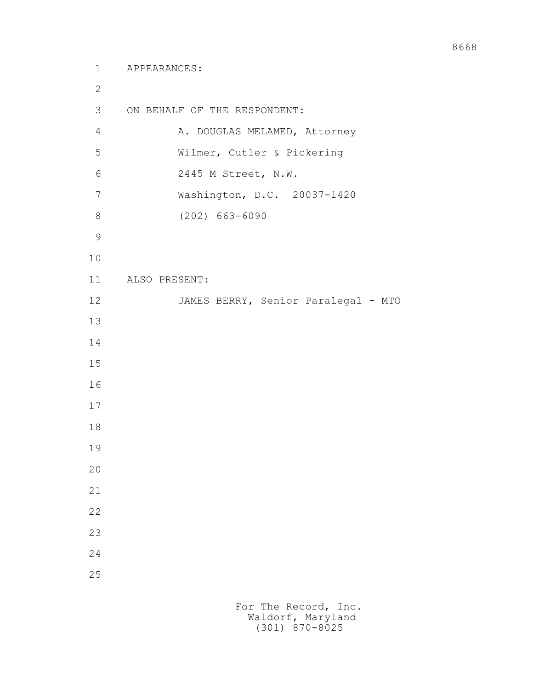```
 1 APPEARANCES:
2
        3 ON BEHALF OF THE RESPONDENT:
       4 A. DOUGLAS MELAMED, Attorney
        5 Wilmer, Cutler & Pickering
        6 2445 M Street, N.W.
        7 Washington, D.C. 20037-1420
        8 (202) 663-6090
9
       10
       11 ALSO PRESENT:
      12 JAMES BERRY, Senior Paralegal - MTO
       13
       14
       15
       16
       17
       18
       19
       20
       21
       22
       23
       24
       25
```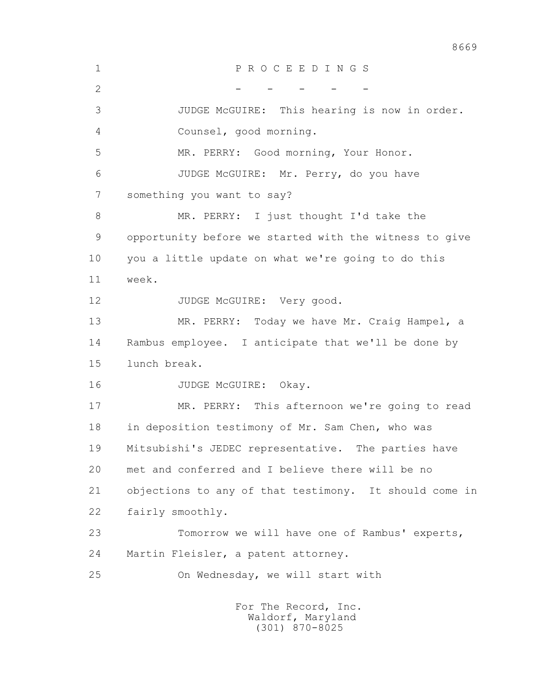1 P R O C E E D I N G S  $2$  - - - - - 3 JUDGE McGUIRE: This hearing is now in order. 4 Counsel, good morning. 5 MR. PERRY: Good morning, Your Honor. 6 JUDGE McGUIRE: Mr. Perry, do you have 7 something you want to say? 8 MR. PERRY: I just thought I'd take the 9 opportunity before we started with the witness to give 10 you a little update on what we're going to do this 11 week. 12 JUDGE McGUIRE: Very good. 13 MR. PERRY: Today we have Mr. Craig Hampel, a 14 Rambus employee. I anticipate that we'll be done by 15 lunch break. 16 JUDGE McGUIRE: Okay. 17 MR. PERRY: This afternoon we're going to read 18 in deposition testimony of Mr. Sam Chen, who was 19 Mitsubishi's JEDEC representative. The parties have 20 met and conferred and I believe there will be no 21 objections to any of that testimony. It should come in 22 fairly smoothly. 23 Tomorrow we will have one of Rambus' experts, 24 Martin Fleisler, a patent attorney. 25 On Wednesday, we will start with For The Record, Inc.

 Waldorf, Maryland (301) 870-8025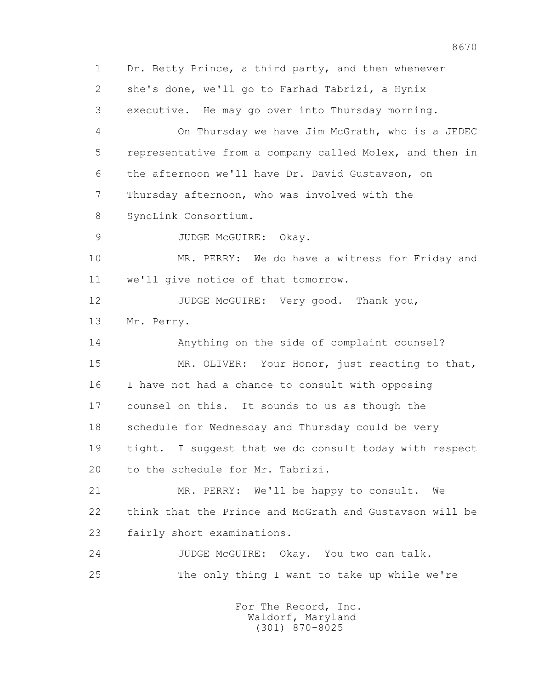1 Dr. Betty Prince, a third party, and then whenever 2 she's done, we'll go to Farhad Tabrizi, a Hynix 3 executive. He may go over into Thursday morning. 4 On Thursday we have Jim McGrath, who is a JEDEC 5 representative from a company called Molex, and then in 6 the afternoon we'll have Dr. David Gustavson, on 7 Thursday afternoon, who was involved with the 8 SyncLink Consortium. 9 JUDGE McGUIRE: Okay. 10 MR. PERRY: We do have a witness for Friday and 11 we'll give notice of that tomorrow. 12 JUDGE McGUIRE: Very good. Thank you, 13 Mr. Perry. 14 Anything on the side of complaint counsel? 15 MR. OLIVER: Your Honor, just reacting to that, 16 I have not had a chance to consult with opposing 17 counsel on this. It sounds to us as though the 18 schedule for Wednesday and Thursday could be very 19 tight. I suggest that we do consult today with respect 20 to the schedule for Mr. Tabrizi. 21 MR. PERRY: We'll be happy to consult. We 22 think that the Prince and McGrath and Gustavson will be 23 fairly short examinations. 24 JUDGE McGUIRE: Okay. You two can talk. 25 The only thing I want to take up while we're For The Record, Inc.

 Waldorf, Maryland (301) 870-8025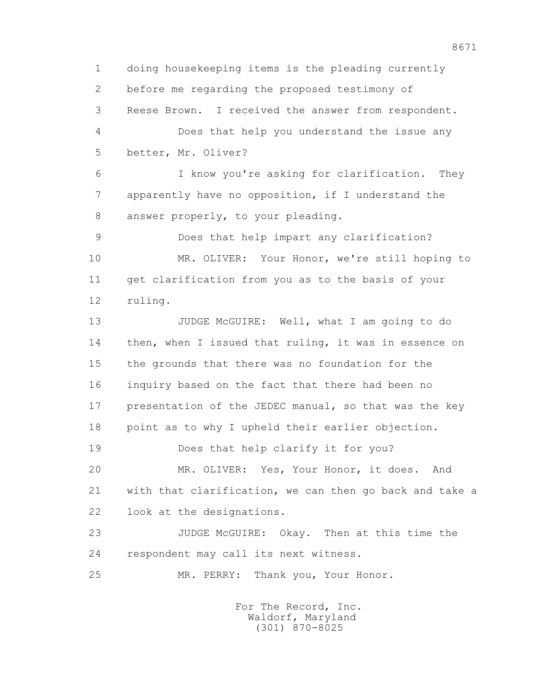1 doing housekeeping items is the pleading currently 2 before me regarding the proposed testimony of 3 Reese Brown. I received the answer from respondent. 4 Does that help you understand the issue any 5 better, Mr. Oliver? 6 I know you're asking for clarification. They 7 apparently have no opposition, if I understand the 8 answer properly, to your pleading. 9 Does that help impart any clarification? 10 MR. OLIVER: Your Honor, we're still hoping to 11 get clarification from you as to the basis of your 12 ruling. 13 JUDGE McGUIRE: Well, what I am going to do 14 then, when I issued that ruling, it was in essence on 15 the grounds that there was no foundation for the 16 inquiry based on the fact that there had been no 17 presentation of the JEDEC manual, so that was the key 18 point as to why I upheld their earlier objection. 19 Does that help clarify it for you? 20 MR. OLIVER: Yes, Your Honor, it does. And 21 with that clarification, we can then go back and take a 22 look at the designations. 23 JUDGE McGUIRE: Okay. Then at this time the 24 respondent may call its next witness. 25 MR. PERRY: Thank you, Your Honor.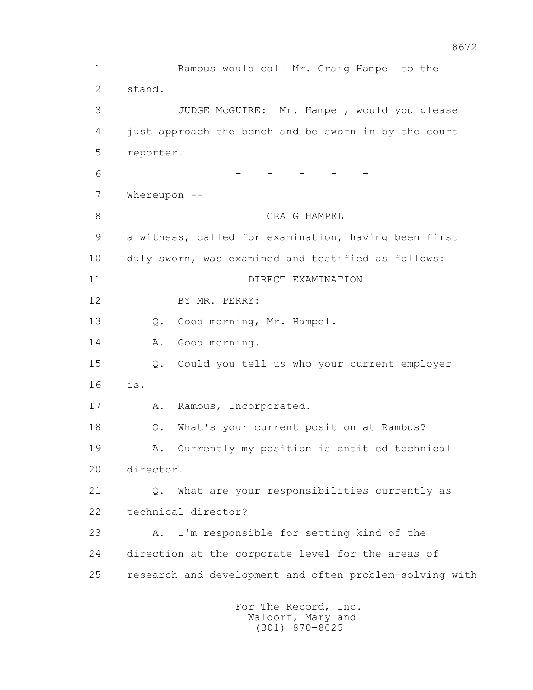1 Rambus would call Mr. Craig Hampel to the 2 stand. 3 JUDGE McGUIRE: Mr. Hampel, would you please 4 just approach the bench and be sworn in by the court 5 reporter. 6 - - - - - - - -7 Whereupon --8 CRAIG HAMPEL 9 a witness, called for examination, having been first 10 duly sworn, was examined and testified as follows: 11 DIRECT EXAMINATION 12 BY MR. PERRY: 13 Q. Good morning, Mr. Hampel. 14 A. Good morning. 15 Q. Could you tell us who your current employer 16 is. 17 A. Rambus, Incorporated. 18 Q. What's your current position at Rambus? 19 A. Currently my position is entitled technical 20 director. 21 Q. What are your responsibilities currently as 22 technical director? 23 A. I'm responsible for setting kind of the 24 direction at the corporate level for the areas of 25 research and development and often problem-solving with For The Record, Inc. Waldorf, Maryland

(301) 870-8025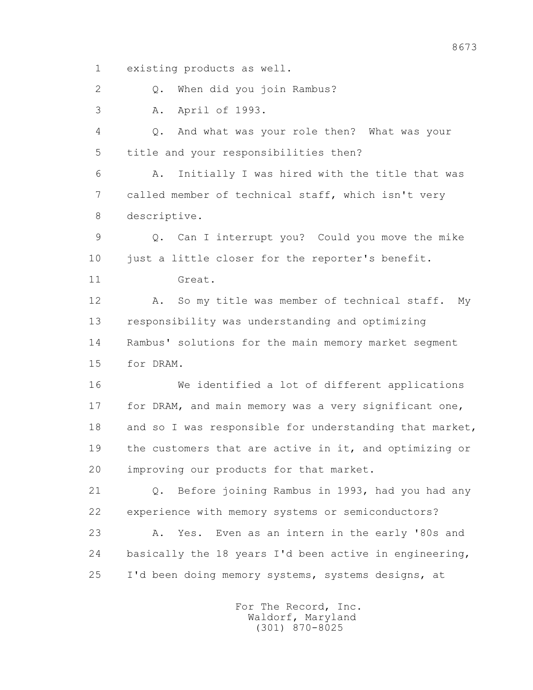1 existing products as well.

2 0. When did you join Rambus?

3 A. April of 1993.

 4 Q. And what was your role then? What was your 5 title and your responsibilities then?

 6 A. Initially I was hired with the title that was 7 called member of technical staff, which isn't very 8 descriptive.

 9 Q. Can I interrupt you? Could you move the mike 10 just a little closer for the reporter's benefit. 11 Great.

 12 A. So my title was member of technical staff. My 13 responsibility was understanding and optimizing 14 Rambus' solutions for the main memory market segment 15 for DRAM.

 16 We identified a lot of different applications 17 for DRAM, and main memory was a very significant one, 18 and so I was responsible for understanding that market, 19 the customers that are active in it, and optimizing or 20 improving our products for that market.

 21 Q. Before joining Rambus in 1993, had you had any 22 experience with memory systems or semiconductors? 23 A. Yes. Even as an intern in the early '80s and 24 basically the 18 years I'd been active in engineering, 25 I'd been doing memory systems, systems designs, at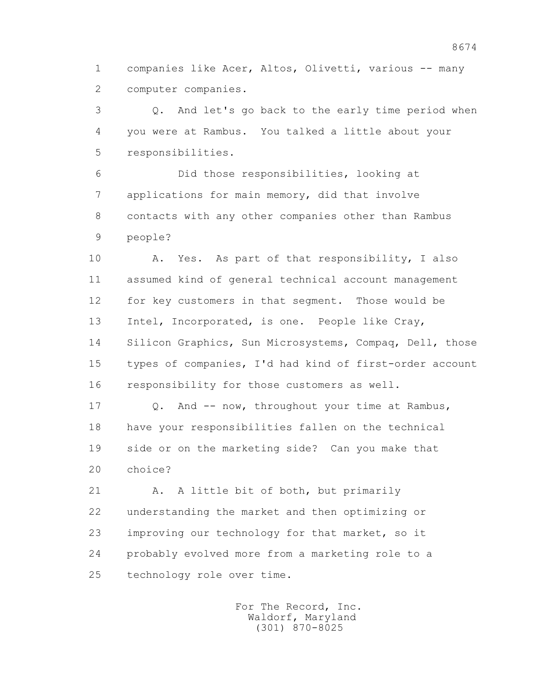1 companies like Acer, Altos, Olivetti, various -- many 2 computer companies.

 3 Q. And let's go back to the early time period when 4 you were at Rambus. You talked a little about your 5 responsibilities.

 6 Did those responsibilities, looking at 7 applications for main memory, did that involve 8 contacts with any other companies other than Rambus 9 people?

 10 A. Yes. As part of that responsibility, I also 11 assumed kind of general technical account management 12 for key customers in that segment. Those would be 13 Intel, Incorporated, is one. People like Cray, 14 Silicon Graphics, Sun Microsystems, Compaq, Dell, those 15 types of companies, I'd had kind of first-order account 16 responsibility for those customers as well.

17 Q. And -- now, throughout your time at Rambus, 18 have your responsibilities fallen on the technical 19 side or on the marketing side? Can you make that 20 choice?

21 A. A little bit of both, but primarily 22 understanding the market and then optimizing or 23 improving our technology for that market, so it 24 probably evolved more from a marketing role to a 25 technology role over time.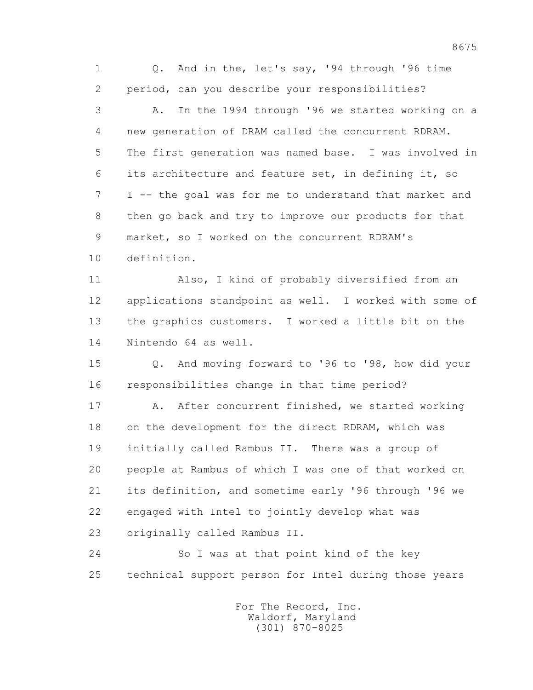1 Q. And in the, let's say, '94 through '96 time 2 period, can you describe your responsibilities? 3 A. In the 1994 through '96 we started working on a 4 new generation of DRAM called the concurrent RDRAM. 5 The first generation was named base. I was involved in 6 its architecture and feature set, in defining it, so 7 I -- the goal was for me to understand that market and 8 then go back and try to improve our products for that 9 market, so I worked on the concurrent RDRAM's 10 definition.

 11 Also, I kind of probably diversified from an 12 applications standpoint as well. I worked with some of 13 the graphics customers. I worked a little bit on the 14 Nintendo 64 as well.

 15 Q. And moving forward to '96 to '98, how did your 16 responsibilities change in that time period?

17 A. After concurrent finished, we started working 18 on the development for the direct RDRAM, which was 19 initially called Rambus II. There was a group of 20 people at Rambus of which I was one of that worked on 21 its definition, and sometime early '96 through '96 we 22 engaged with Intel to jointly develop what was 23 originally called Rambus II.

 24 So I was at that point kind of the key 25 technical support person for Intel during those years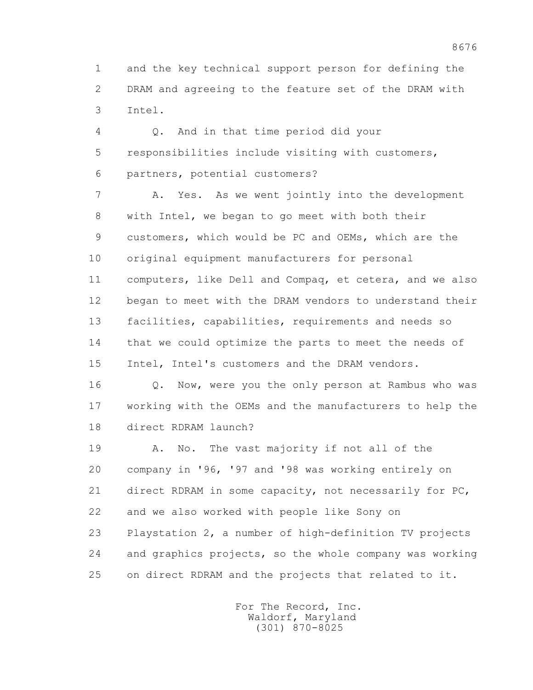1 and the key technical support person for defining the 2 DRAM and agreeing to the feature set of the DRAM with 3 Intel.

 4 Q. And in that time period did your 5 responsibilities include visiting with customers, 6 partners, potential customers?

 7 A. Yes. As we went jointly into the development 8 with Intel, we began to go meet with both their 9 customers, which would be PC and OEMs, which are the 10 original equipment manufacturers for personal 11 computers, like Dell and Compaq, et cetera, and we also 12 began to meet with the DRAM vendors to understand their 13 facilities, capabilities, requirements and needs so 14 that we could optimize the parts to meet the needs of 15 Intel, Intel's customers and the DRAM vendors.

 16 Q. Now, were you the only person at Rambus who was 17 working with the OEMs and the manufacturers to help the 18 direct RDRAM launch?

 19 A. No. The vast majority if not all of the 20 company in '96, '97 and '98 was working entirely on 21 direct RDRAM in some capacity, not necessarily for PC, 22 and we also worked with people like Sony on 23 Playstation 2, a number of high-definition TV projects 24 and graphics projects, so the whole company was working

25 on direct RDRAM and the projects that related to it.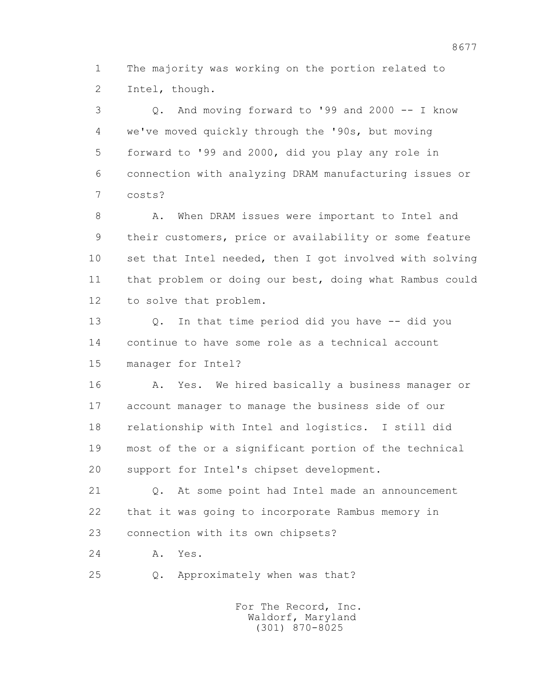1 The majority was working on the portion related to 2 Intel, though.

 3 Q. And moving forward to '99 and 2000 -- I know 4 we've moved quickly through the '90s, but moving 5 forward to '99 and 2000, did you play any role in 6 connection with analyzing DRAM manufacturing issues or 7 costs?

8 A. When DRAM issues were important to Intel and 9 their customers, price or availability or some feature 10 set that Intel needed, then I got involved with solving 11 that problem or doing our best, doing what Rambus could 12 to solve that problem.

 13 Q. In that time period did you have -- did you 14 continue to have some role as a technical account 15 manager for Intel?

 16 A. Yes. We hired basically a business manager or 17 account manager to manage the business side of our 18 relationship with Intel and logistics. I still did 19 most of the or a significant portion of the technical 20 support for Intel's chipset development.

 21 Q. At some point had Intel made an announcement 22 that it was going to incorporate Rambus memory in 23 connection with its own chipsets?

24 A. Yes.

25 Q. Approximately when was that?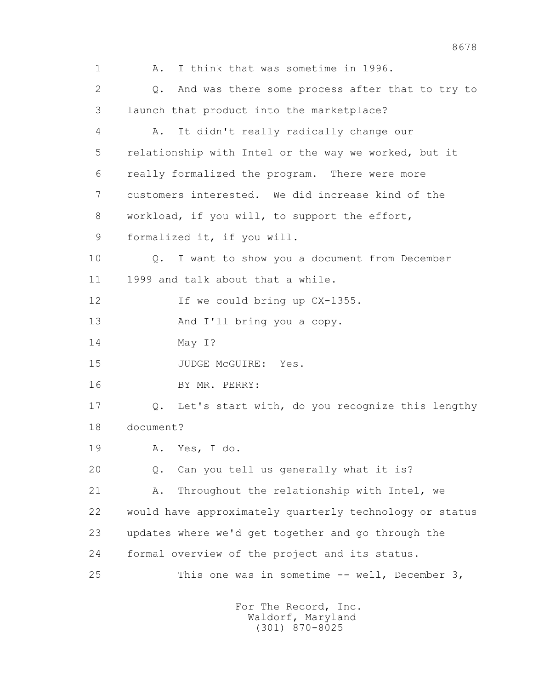1 A. I think that was sometime in 1996. 2 Q. And was there some process after that to try to 3 launch that product into the marketplace? 4 A. It didn't really radically change our 5 relationship with Intel or the way we worked, but it 6 really formalized the program. There were more 7 customers interested. We did increase kind of the 8 workload, if you will, to support the effort, 9 formalized it, if you will. 10 Q. I want to show you a document from December 11 1999 and talk about that a while. 12 If we could bring up  $CX-1355$ . 13 And I'll bring you a copy. 14 May I? 15 JUDGE McGUIRE: Yes. 16 BY MR. PERRY: 17 Q. Let's start with, do you recognize this lengthy 18 document? 19 A. Yes, I do. 20 Q. Can you tell us generally what it is? 21 A. Throughout the relationship with Intel, we 22 would have approximately quarterly technology or status 23 updates where we'd get together and go through the 24 formal overview of the project and its status. 25 This one was in sometime -- well, December 3,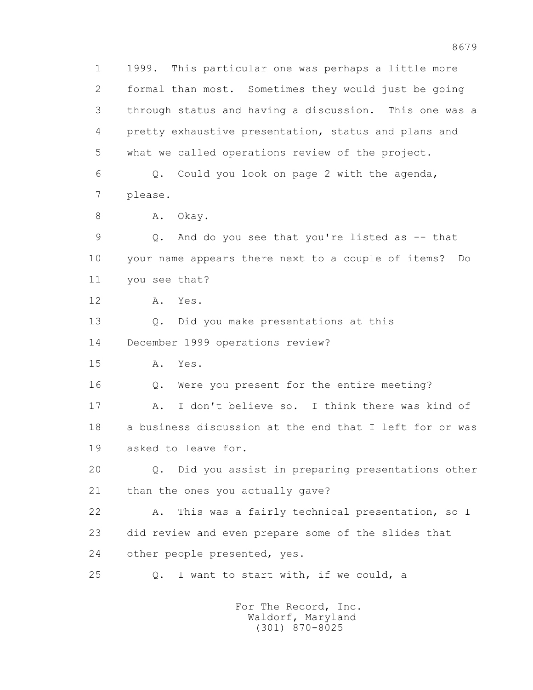1 1999. This particular one was perhaps a little more 2 formal than most. Sometimes they would just be going 3 through status and having a discussion. This one was a 4 pretty exhaustive presentation, status and plans and 5 what we called operations review of the project. 6 Q. Could you look on page 2 with the agenda, 7 please. 8 A. Okay. 9 Q. And do you see that you're listed as -- that 10 your name appears there next to a couple of items? Do 11 you see that? 12 A. Yes. 13 Q. Did you make presentations at this 14 December 1999 operations review? 15 A. Yes. 16 Q. Were you present for the entire meeting? 17 A. I don't believe so. I think there was kind of 18 a business discussion at the end that I left for or was 19 asked to leave for. 20 Q. Did you assist in preparing presentations other 21 than the ones you actually gave? 22 A. This was a fairly technical presentation, so I 23 did review and even prepare some of the slides that 24 other people presented, yes. 25 Q. I want to start with, if we could, a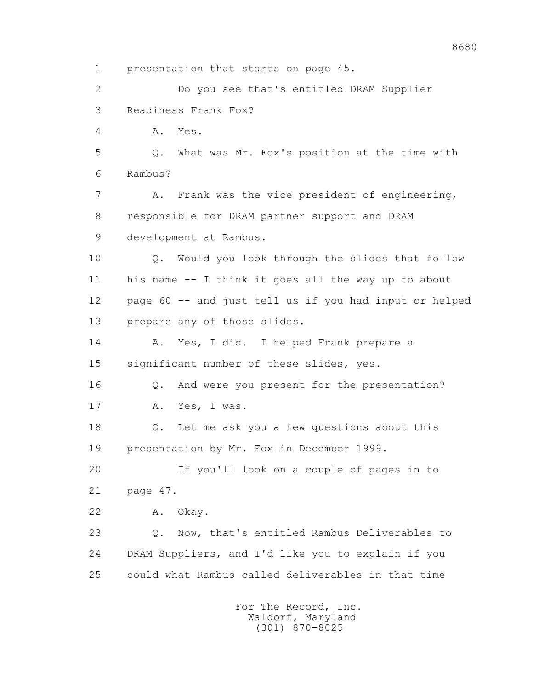1 presentation that starts on page 45. 2 Do you see that's entitled DRAM Supplier 3 Readiness Frank Fox? 4 A. Yes. 5 Q. What was Mr. Fox's position at the time with 6 Rambus? 7 A. Frank was the vice president of engineering, 8 responsible for DRAM partner support and DRAM 9 development at Rambus. 10 Q. Would you look through the slides that follow 11 his name -- I think it goes all the way up to about 12 page 60 -- and just tell us if you had input or helped 13 prepare any of those slides. 14 A. Yes, I did. I helped Frank prepare a 15 significant number of these slides, yes. 16 Q. And were you present for the presentation? 17 A. Yes, I was. 18 Q. Let me ask you a few questions about this 19 presentation by Mr. Fox in December 1999. 20 If you'll look on a couple of pages in to 21 page 47. 22 A. Okay. 23 Q. Now, that's entitled Rambus Deliverables to 24 DRAM Suppliers, and I'd like you to explain if you 25 could what Rambus called deliverables in that time

> For The Record, Inc. Waldorf, Maryland (301) 870-8025

8680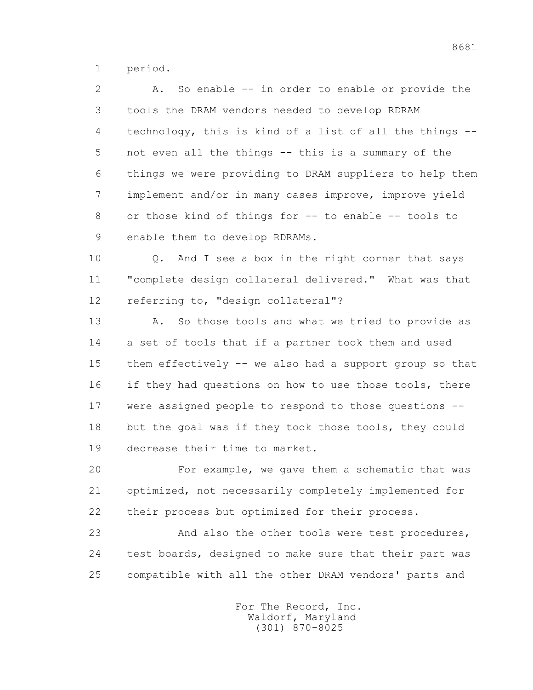1 period.

 2 A. So enable -- in order to enable or provide the 3 tools the DRAM vendors needed to develop RDRAM 4 technology, this is kind of a list of all the things -- 5 not even all the things -- this is a summary of the 6 things we were providing to DRAM suppliers to help them 7 implement and/or in many cases improve, improve yield 8 or those kind of things for -- to enable -- tools to 9 enable them to develop RDRAMs.

 10 Q. And I see a box in the right corner that says 11 "complete design collateral delivered." What was that 12 referring to, "design collateral"?

 13 A. So those tools and what we tried to provide as 14 a set of tools that if a partner took them and used 15 them effectively -- we also had a support group so that 16 if they had questions on how to use those tools, there 17 were assigned people to respond to those questions -- 18 but the goal was if they took those tools, they could 19 decrease their time to market.

 20 For example, we gave them a schematic that was 21 optimized, not necessarily completely implemented for 22 their process but optimized for their process.

 23 And also the other tools were test procedures, 24 test boards, designed to make sure that their part was 25 compatible with all the other DRAM vendors' parts and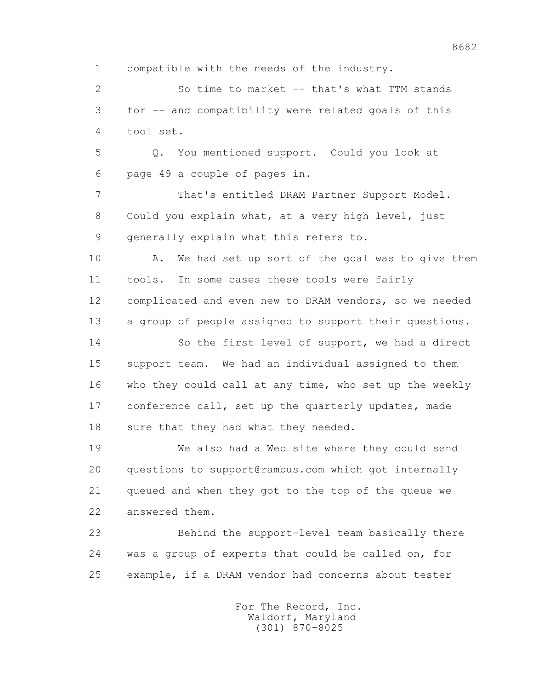1 compatible with the needs of the industry.

 2 So time to market -- that's what TTM stands 3 for -- and compatibility were related goals of this 4 tool set.

 5 Q. You mentioned support. Could you look at 6 page 49 a couple of pages in.

 7 That's entitled DRAM Partner Support Model. 8 Could you explain what, at a very high level, just 9 generally explain what this refers to.

10 A. We had set up sort of the goal was to give them 11 tools. In some cases these tools were fairly 12 complicated and even new to DRAM vendors, so we needed 13 a group of people assigned to support their questions.

 14 So the first level of support, we had a direct 15 support team. We had an individual assigned to them 16 who they could call at any time, who set up the weekly 17 conference call, set up the quarterly updates, made 18 sure that they had what they needed.

 19 We also had a Web site where they could send 20 questions to support@rambus.com which got internally 21 queued and when they got to the top of the queue we 22 answered them.

 23 Behind the support-level team basically there 24 was a group of experts that could be called on, for 25 example, if a DRAM vendor had concerns about tester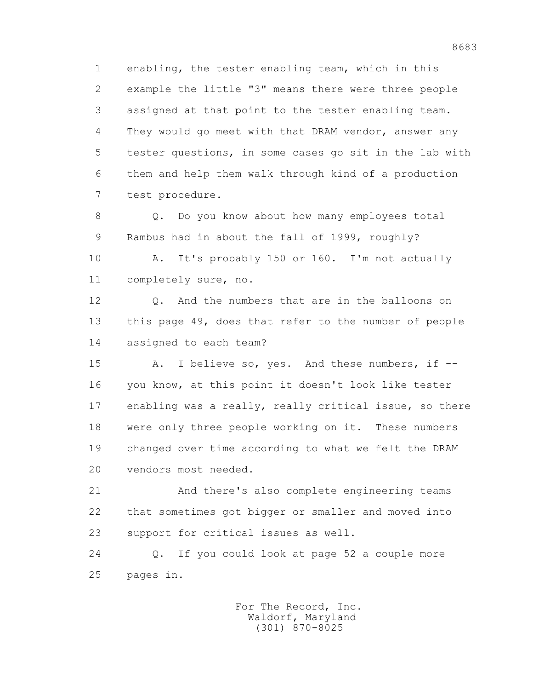1 enabling, the tester enabling team, which in this 2 example the little "3" means there were three people 3 assigned at that point to the tester enabling team. 4 They would go meet with that DRAM vendor, answer any 5 tester questions, in some cases go sit in the lab with 6 them and help them walk through kind of a production 7 test procedure.

8 Q. Do you know about how many employees total 9 Rambus had in about the fall of 1999, roughly?

 10 A. It's probably 150 or 160. I'm not actually 11 completely sure, no.

 12 Q. And the numbers that are in the balloons on 13 this page 49, does that refer to the number of people 14 assigned to each team?

15 A. I believe so, yes. And these numbers, if -- 16 you know, at this point it doesn't look like tester 17 enabling was a really, really critical issue, so there 18 were only three people working on it. These numbers 19 changed over time according to what we felt the DRAM 20 vendors most needed.

 21 And there's also complete engineering teams 22 that sometimes got bigger or smaller and moved into 23 support for critical issues as well.

 24 Q. If you could look at page 52 a couple more 25 pages in.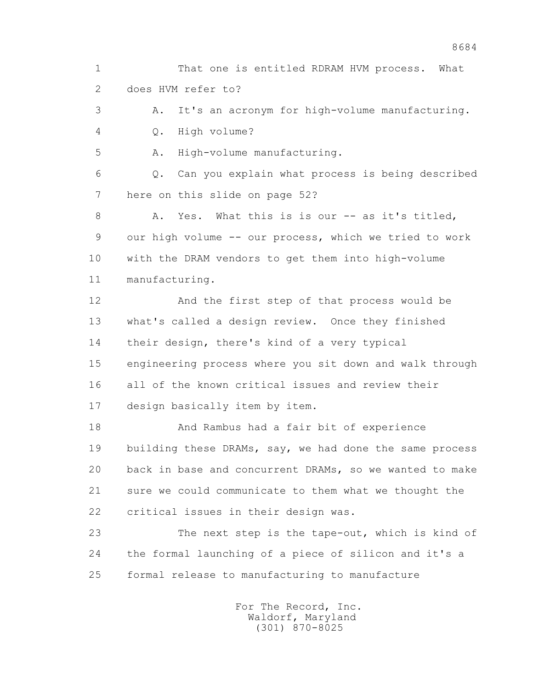1 That one is entitled RDRAM HVM process. What 2 does HVM refer to?

 3 A. It's an acronym for high-volume manufacturing. 4 Q. High volume?

5 A. High-volume manufacturing.

 6 Q. Can you explain what process is being described 7 here on this slide on page 52?

8 A. Yes. What this is is our -- as it's titled, 9 our high volume -- our process, which we tried to work 10 with the DRAM vendors to get them into high-volume 11 manufacturing.

 12 And the first step of that process would be 13 what's called a design review. Once they finished 14 their design, there's kind of a very typical 15 engineering process where you sit down and walk through 16 all of the known critical issues and review their 17 design basically item by item.

 18 And Rambus had a fair bit of experience 19 building these DRAMs, say, we had done the same process 20 back in base and concurrent DRAMs, so we wanted to make 21 sure we could communicate to them what we thought the 22 critical issues in their design was.

 23 The next step is the tape-out, which is kind of 24 the formal launching of a piece of silicon and it's a 25 formal release to manufacturing to manufacture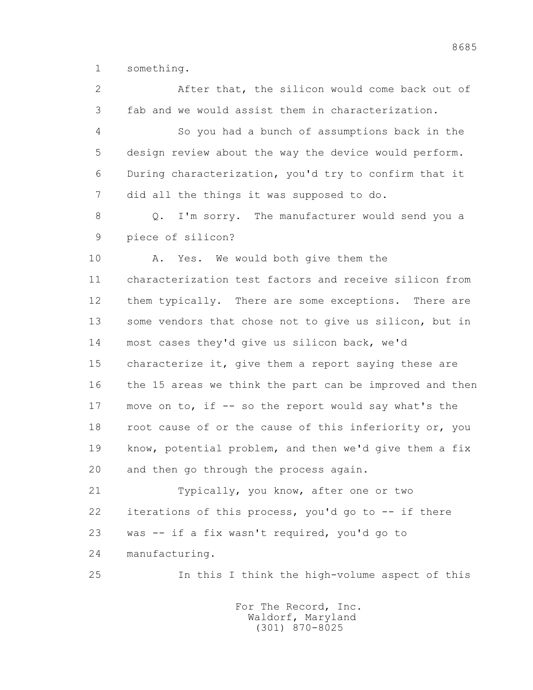1 something.

 2 After that, the silicon would come back out of 3 fab and we would assist them in characterization. 4 So you had a bunch of assumptions back in the 5 design review about the way the device would perform. 6 During characterization, you'd try to confirm that it 7 did all the things it was supposed to do. 8 Q. I'm sorry. The manufacturer would send you a 9 piece of silicon? 10 A. Yes. We would both give them the 11 characterization test factors and receive silicon from 12 them typically. There are some exceptions. There are 13 some vendors that chose not to give us silicon, but in 14 most cases they'd give us silicon back, we'd 15 characterize it, give them a report saying these are 16 the 15 areas we think the part can be improved and then 17 move on to, if -- so the report would say what's the 18 root cause of or the cause of this inferiority or, you 19 know, potential problem, and then we'd give them a fix 20 and then go through the process again.

 21 Typically, you know, after one or two 22 iterations of this process, you'd go to -- if there 23 was -- if a fix wasn't required, you'd go to 24 manufacturing.

25 In this I think the high-volume aspect of this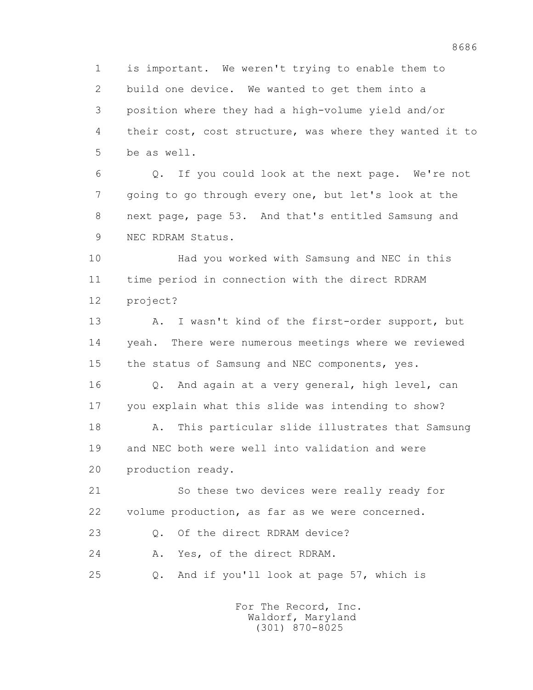1 is important. We weren't trying to enable them to 2 build one device. We wanted to get them into a 3 position where they had a high-volume yield and/or 4 their cost, cost structure, was where they wanted it to 5 be as well.

 6 Q. If you could look at the next page. We're not 7 going to go through every one, but let's look at the 8 next page, page 53. And that's entitled Samsung and 9 NEC RDRAM Status.

 10 Had you worked with Samsung and NEC in this 11 time period in connection with the direct RDRAM 12 project?

 13 A. I wasn't kind of the first-order support, but 14 yeah. There were numerous meetings where we reviewed 15 the status of Samsung and NEC components, yes.

 16 Q. And again at a very general, high level, can 17 you explain what this slide was intending to show?

 18 A. This particular slide illustrates that Samsung 19 and NEC both were well into validation and were 20 production ready.

 21 So these two devices were really ready for 22 volume production, as far as we were concerned.

23 Q. Of the direct RDRAM device?

24 A. Yes, of the direct RDRAM.

25 Q. And if you'll look at page 57, which is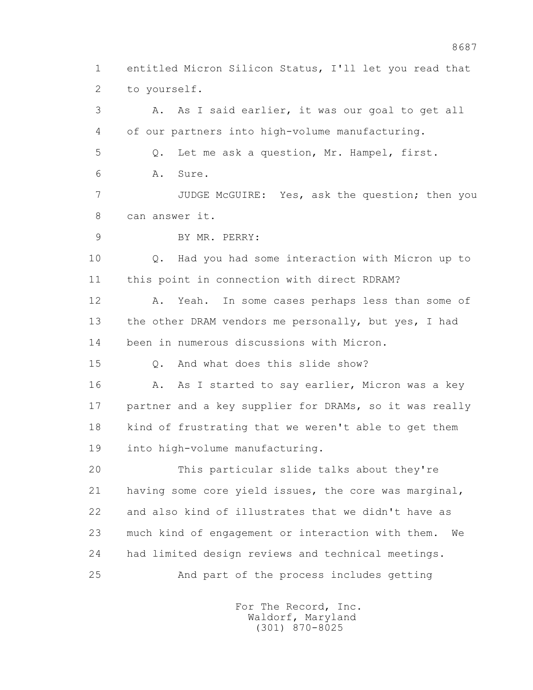1 entitled Micron Silicon Status, I'll let you read that 2 to yourself.

 3 A. As I said earlier, it was our goal to get all 4 of our partners into high-volume manufacturing. 5 Q. Let me ask a question, Mr. Hampel, first. 6 A. Sure. 7 JUDGE McGUIRE: Yes, ask the question; then you 8 can answer it. 9 BY MR. PERRY: 10 Q. Had you had some interaction with Micron up to 11 this point in connection with direct RDRAM? 12 A. Yeah. In some cases perhaps less than some of 13 the other DRAM vendors me personally, but yes, I had 14 been in numerous discussions with Micron. 15 Q. And what does this slide show? 16 A. As I started to say earlier, Micron was a key 17 partner and a key supplier for DRAMs, so it was really 18 kind of frustrating that we weren't able to get them 19 into high-volume manufacturing. 20 This particular slide talks about they're 21 having some core yield issues, the core was marginal, 22 and also kind of illustrates that we didn't have as 23 much kind of engagement or interaction with them. We 24 had limited design reviews and technical meetings. 25 And part of the process includes getting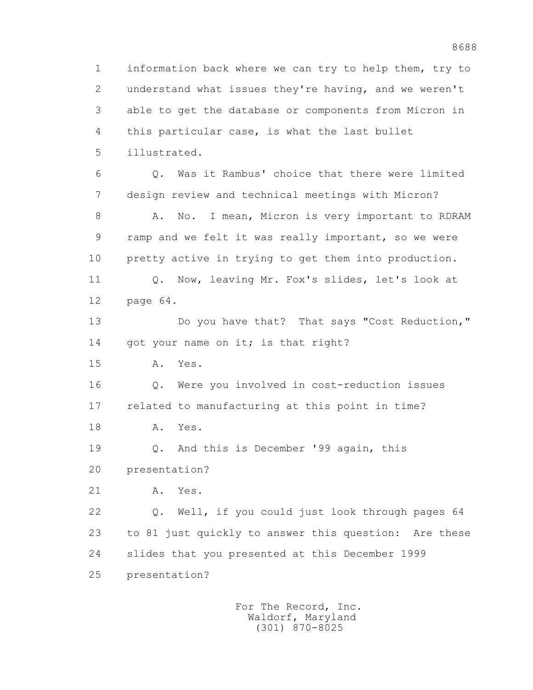1 information back where we can try to help them, try to 2 understand what issues they're having, and we weren't 3 able to get the database or components from Micron in 4 this particular case, is what the last bullet 5 illustrated. 6 Q. Was it Rambus' choice that there were limited

 7 design review and technical meetings with Micron? 8 A. No. I mean, Micron is very important to RDRAM 9 ramp and we felt it was really important, so we were 10 pretty active in trying to get them into production. 11 Q. Now, leaving Mr. Fox's slides, let's look at

12 page 64.

 13 Do you have that? That says "Cost Reduction," 14 got your name on it; is that right?

15 A. Yes.

 16 Q. Were you involved in cost-reduction issues 17 related to manufacturing at this point in time?

18 A. Yes.

 19 Q. And this is December '99 again, this 20 presentation?

21 A. Yes.

 22 Q. Well, if you could just look through pages 64 23 to 81 just quickly to answer this question: Are these 24 slides that you presented at this December 1999

25 presentation?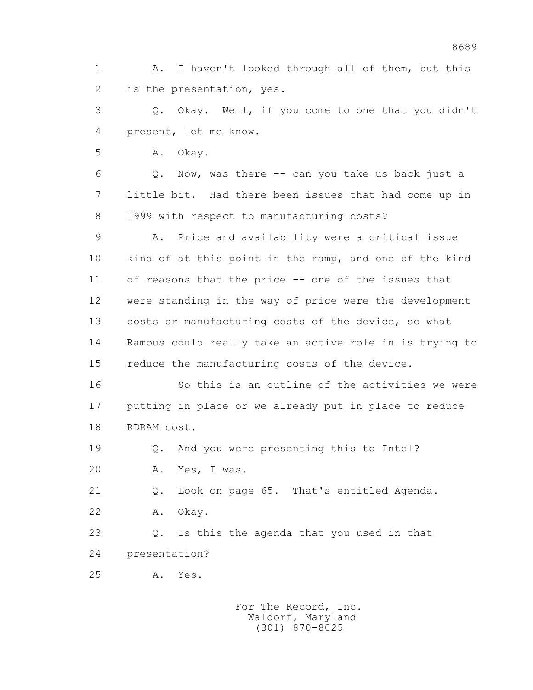1 A. I haven't looked through all of them, but this 2 is the presentation, yes.

 3 Q. Okay. Well, if you come to one that you didn't 4 present, let me know.

5 A. Okay.

 6 Q. Now, was there -- can you take us back just a 7 little bit. Had there been issues that had come up in 8 1999 with respect to manufacturing costs?

 9 A. Price and availability were a critical issue 10 kind of at this point in the ramp, and one of the kind 11 of reasons that the price -- one of the issues that 12 were standing in the way of price were the development 13 costs or manufacturing costs of the device, so what 14 Rambus could really take an active role in is trying to 15 reduce the manufacturing costs of the device.

 16 So this is an outline of the activities we were 17 putting in place or we already put in place to reduce 18 RDRAM cost.

19 Q. And you were presenting this to Intel?

20 A. Yes, I was.

21 Q. Look on page 65. That's entitled Agenda.

22 A. Okay.

 23 Q. Is this the agenda that you used in that 24 presentation?

25 A. Yes.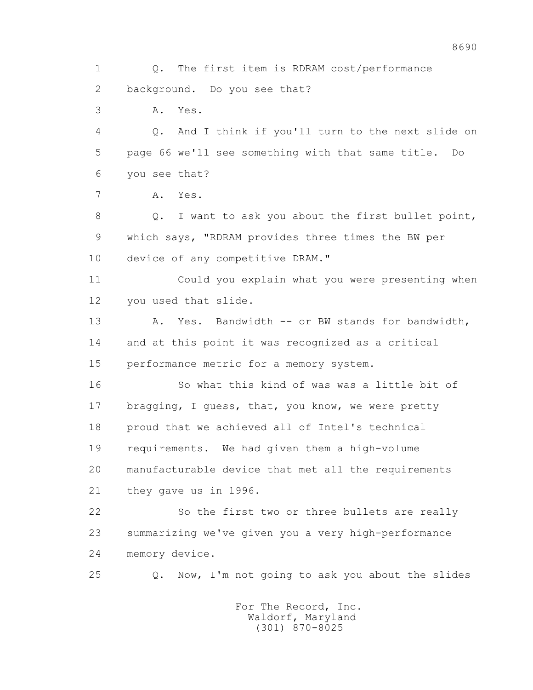1 Q. The first item is RDRAM cost/performance 2 background. Do you see that? 3 A. Yes. 4 Q. And I think if you'll turn to the next slide on 5 page 66 we'll see something with that same title. Do 6 you see that? 7 A. Yes. 8 Q. I want to ask you about the first bullet point, 9 which says, "RDRAM provides three times the BW per 10 device of any competitive DRAM." 11 Could you explain what you were presenting when 12 you used that slide. 13 A. Yes. Bandwidth -- or BW stands for bandwidth, 14 and at this point it was recognized as a critical 15 performance metric for a memory system. 16 So what this kind of was was a little bit of 17 bragging, I guess, that, you know, we were pretty 18 proud that we achieved all of Intel's technical 19 requirements. We had given them a high-volume 20 manufacturable device that met all the requirements 21 they gave us in 1996. 22 So the first two or three bullets are really 23 summarizing we've given you a very high-performance 24 memory device. 25 Q. Now, I'm not going to ask you about the slides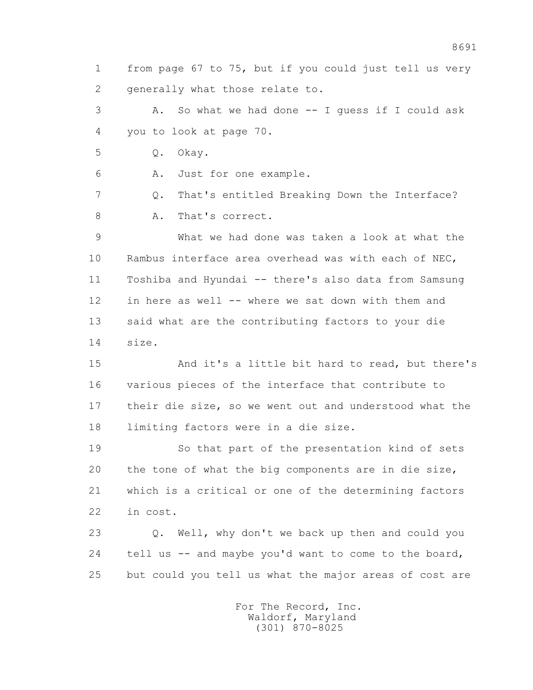1 from page 67 to 75, but if you could just tell us very 2 generally what those relate to.

 3 A. So what we had done -- I guess if I could ask 4 you to look at page 70.

5 Q. Okay.

6 A. Just for one example.

 7 Q. That's entitled Breaking Down the Interface? 8 A. That's correct.

 9 What we had done was taken a look at what the 10 Rambus interface area overhead was with each of NEC, 11 Toshiba and Hyundai -- there's also data from Samsung 12 in here as well -- where we sat down with them and 13 said what are the contributing factors to your die 14 size.

 15 And it's a little bit hard to read, but there's 16 various pieces of the interface that contribute to 17 their die size, so we went out and understood what the 18 limiting factors were in a die size.

 19 So that part of the presentation kind of sets 20 the tone of what the big components are in die size, 21 which is a critical or one of the determining factors 22 in cost.

 23 Q. Well, why don't we back up then and could you 24 tell us -- and maybe you'd want to come to the board, 25 but could you tell us what the major areas of cost are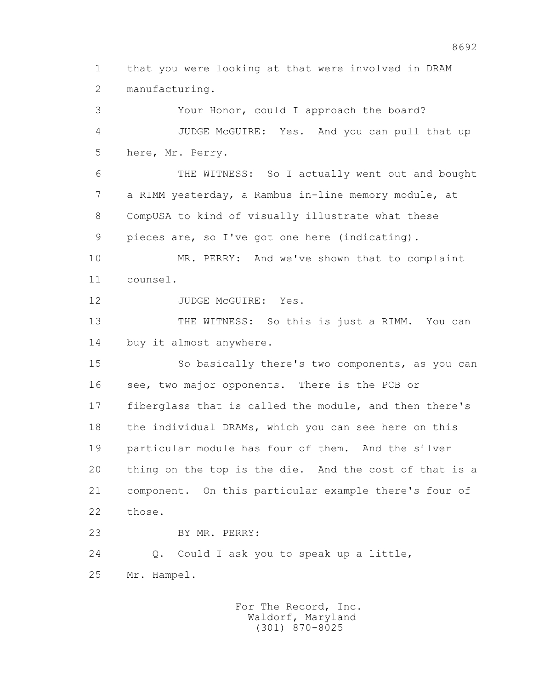1 that you were looking at that were involved in DRAM 2 manufacturing.

 3 Your Honor, could I approach the board? 4 JUDGE McGUIRE: Yes. And you can pull that up 5 here, Mr. Perry.

 6 THE WITNESS: So I actually went out and bought 7 a RIMM yesterday, a Rambus in-line memory module, at 8 CompUSA to kind of visually illustrate what these 9 pieces are, so I've got one here (indicating).

 10 MR. PERRY: And we've shown that to complaint 11 counsel.

12 JUDGE McGUIRE: Yes.

 13 THE WITNESS: So this is just a RIMM. You can 14 buy it almost anywhere.

 15 So basically there's two components, as you can 16 see, two major opponents. There is the PCB or 17 fiberglass that is called the module, and then there's 18 the individual DRAMs, which you can see here on this 19 particular module has four of them. And the silver 20 thing on the top is the die. And the cost of that is a 21 component. On this particular example there's four of 22 those.

23 BY MR. PERRY:

24 Q. Could I ask you to speak up a little,

25 Mr. Hampel.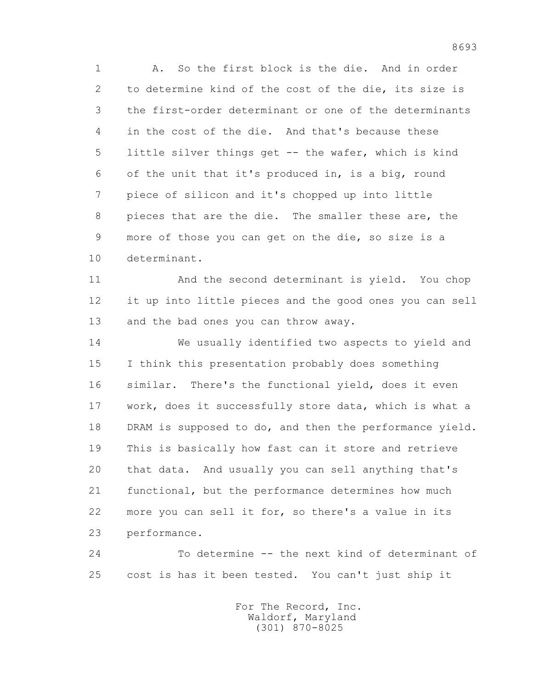1 A. So the first block is the die. And in order 2 to determine kind of the cost of the die, its size is 3 the first-order determinant or one of the determinants 4 in the cost of the die. And that's because these 5 little silver things get -- the wafer, which is kind 6 of the unit that it's produced in, is a big, round 7 piece of silicon and it's chopped up into little 8 pieces that are the die. The smaller these are, the 9 more of those you can get on the die, so size is a 10 determinant.

 11 And the second determinant is yield. You chop 12 it up into little pieces and the good ones you can sell 13 and the bad ones you can throw away.

 14 We usually identified two aspects to yield and 15 I think this presentation probably does something 16 similar. There's the functional yield, does it even 17 work, does it successfully store data, which is what a 18 DRAM is supposed to do, and then the performance yield. 19 This is basically how fast can it store and retrieve 20 that data. And usually you can sell anything that's 21 functional, but the performance determines how much 22 more you can sell it for, so there's a value in its 23 performance.

 24 To determine -- the next kind of determinant of 25 cost is has it been tested. You can't just ship it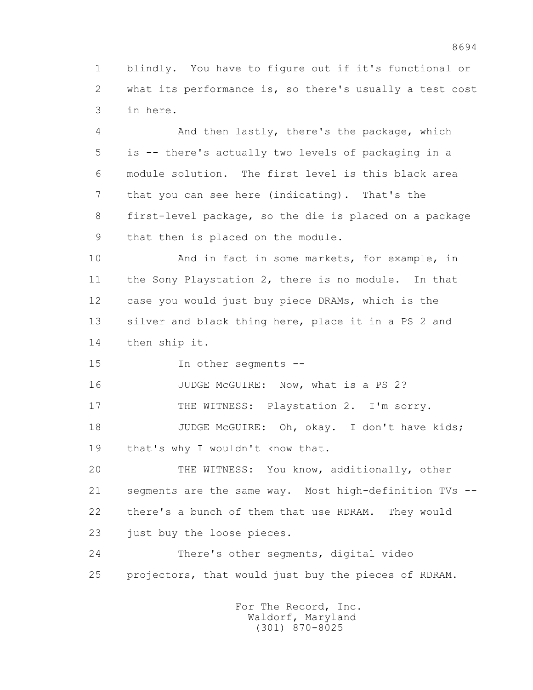1 blindly. You have to figure out if it's functional or 2 what its performance is, so there's usually a test cost 3 in here.

 4 And then lastly, there's the package, which 5 is -- there's actually two levels of packaging in a 6 module solution. The first level is this black area 7 that you can see here (indicating). That's the 8 first-level package, so the die is placed on a package 9 that then is placed on the module.

 10 And in fact in some markets, for example, in 11 the Sony Playstation 2, there is no module. In that 12 case you would just buy piece DRAMs, which is the 13 silver and black thing here, place it in a PS 2 and 14 then ship it.

15 In other segments --

16 JUDGE McGUIRE: Now, what is a PS 2?

17 THE WITNESS: Playstation 2. I'm sorry.

18 JUDGE McGUIRE: Oh, okay. I don't have kids; 19 that's why I wouldn't know that.

 20 THE WITNESS: You know, additionally, other 21 segments are the same way. Most high-definition TVs -- 22 there's a bunch of them that use RDRAM. They would 23 just buy the loose pieces.

 24 There's other segments, digital video 25 projectors, that would just buy the pieces of RDRAM.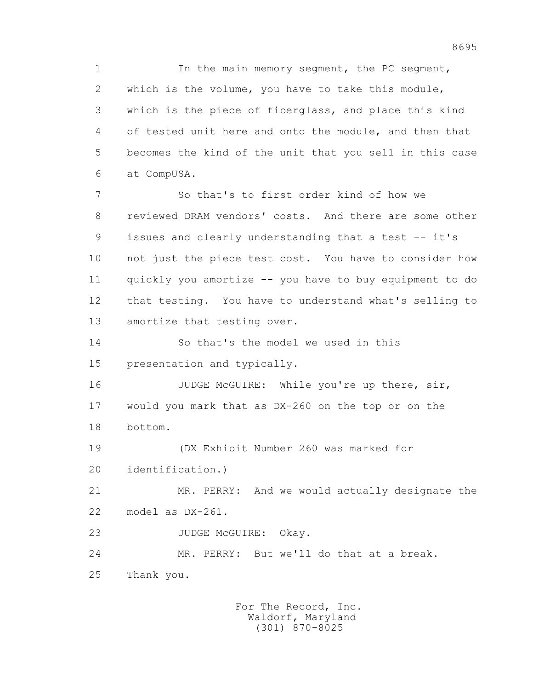1 In the main memory segment, the PC segment, 2 which is the volume, you have to take this module, 3 which is the piece of fiberglass, and place this kind 4 of tested unit here and onto the module, and then that 5 becomes the kind of the unit that you sell in this case 6 at CompUSA.

 7 So that's to first order kind of how we 8 reviewed DRAM vendors' costs. And there are some other 9 issues and clearly understanding that a test -- it's 10 not just the piece test cost. You have to consider how 11 quickly you amortize -- you have to buy equipment to do 12 that testing. You have to understand what's selling to 13 amortize that testing over.

14 So that's the model we used in this

15 presentation and typically.

16 JUDGE McGUIRE: While you're up there, sir, 17 would you mark that as DX-260 on the top or on the 18 bottom.

 19 (DX Exhibit Number 260 was marked for 20 identification.)

 21 MR. PERRY: And we would actually designate the 22 model as DX-261.

23 JUDGE McGUIRE: Okay.

 24 MR. PERRY: But we'll do that at a break. 25 Thank you.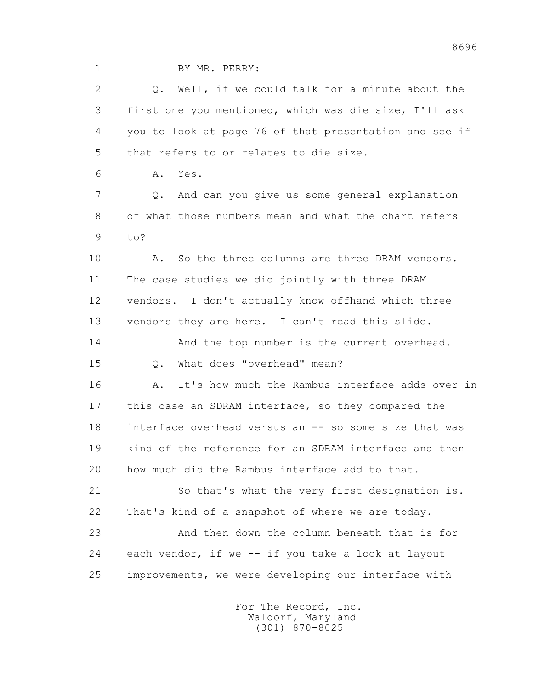1 BY MR. PERRY:

 2 Q. Well, if we could talk for a minute about the 3 first one you mentioned, which was die size, I'll ask 4 you to look at page 76 of that presentation and see if 5 that refers to or relates to die size.

6 A. Yes.

 7 Q. And can you give us some general explanation 8 of what those numbers mean and what the chart refers 9 to?

 10 A. So the three columns are three DRAM vendors. 11 The case studies we did jointly with three DRAM 12 vendors. I don't actually know offhand which three 13 vendors they are here. I can't read this slide.

14 And the top number is the current overhead.

15 Q. What does "overhead" mean?

16 A. It's how much the Rambus interface adds over in 17 this case an SDRAM interface, so they compared the 18 interface overhead versus an -- so some size that was 19 kind of the reference for an SDRAM interface and then 20 how much did the Rambus interface add to that.

 21 So that's what the very first designation is. 22 That's kind of a snapshot of where we are today.

 23 And then down the column beneath that is for 24 each vendor, if we -- if you take a look at layout 25 improvements, we were developing our interface with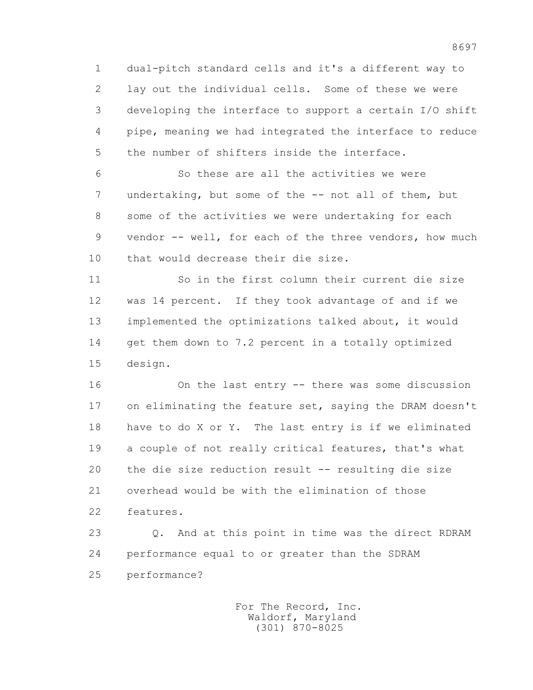1 dual-pitch standard cells and it's a different way to 2 lay out the individual cells. Some of these we were 3 developing the interface to support a certain I/O shift 4 pipe, meaning we had integrated the interface to reduce 5 the number of shifters inside the interface.

 6 So these are all the activities we were 7 undertaking, but some of the -- not all of them, but 8 some of the activities we were undertaking for each 9 vendor -- well, for each of the three vendors, how much 10 that would decrease their die size.

 11 So in the first column their current die size 12 was 14 percent. If they took advantage of and if we 13 implemented the optimizations talked about, it would 14 get them down to 7.2 percent in a totally optimized 15 design.

 16 On the last entry -- there was some discussion 17 on eliminating the feature set, saying the DRAM doesn't 18 have to do X or Y. The last entry is if we eliminated 19 a couple of not really critical features, that's what 20 the die size reduction result -- resulting die size 21 overhead would be with the elimination of those 22 features.

 23 Q. And at this point in time was the direct RDRAM 24 performance equal to or greater than the SDRAM 25 performance?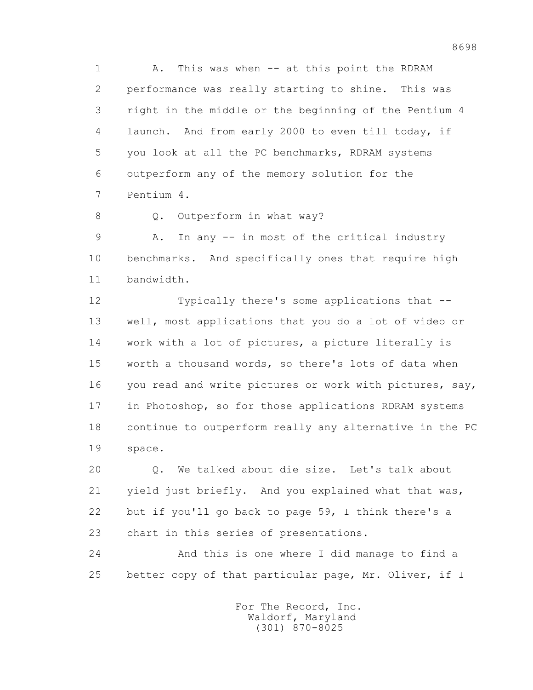1 A. This was when -- at this point the RDRAM 2 performance was really starting to shine. This was 3 right in the middle or the beginning of the Pentium 4 4 launch. And from early 2000 to even till today, if 5 you look at all the PC benchmarks, RDRAM systems 6 outperform any of the memory solution for the 7 Pentium 4.

8 0. Outperform in what way?

 9 A. In any -- in most of the critical industry 10 benchmarks. And specifically ones that require high 11 bandwidth.

 12 Typically there's some applications that -- 13 well, most applications that you do a lot of video or 14 work with a lot of pictures, a picture literally is 15 worth a thousand words, so there's lots of data when 16 you read and write pictures or work with pictures, say, 17 in Photoshop, so for those applications RDRAM systems 18 continue to outperform really any alternative in the PC 19 space.

 20 Q. We talked about die size. Let's talk about 21 yield just briefly. And you explained what that was, 22 but if you'll go back to page 59, I think there's a 23 chart in this series of presentations.

 24 And this is one where I did manage to find a 25 better copy of that particular page, Mr. Oliver, if I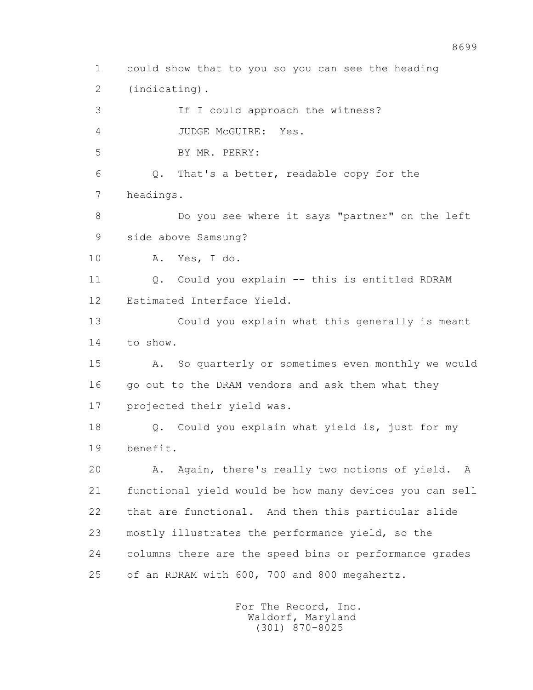1 could show that to you so you can see the heading 2 (indicating). 3 If I could approach the witness? 4 JUDGE McGUIRE: Yes. 5 BY MR. PERRY: 6 Q. That's a better, readable copy for the 7 headings. 8 Do you see where it says "partner" on the left 9 side above Samsung? 10 A. Yes, I do. 11 Q. Could you explain -- this is entitled RDRAM 12 Estimated Interface Yield. 13 Could you explain what this generally is meant 14 to show. 15 A. So quarterly or sometimes even monthly we would 16 go out to the DRAM vendors and ask them what they 17 projected their yield was. 18 Q. Could you explain what yield is, just for my 19 benefit. 20 A. Again, there's really two notions of yield. A 21 functional yield would be how many devices you can sell 22 that are functional. And then this particular slide 23 mostly illustrates the performance yield, so the 24 columns there are the speed bins or performance grades 25 of an RDRAM with 600, 700 and 800 megahertz.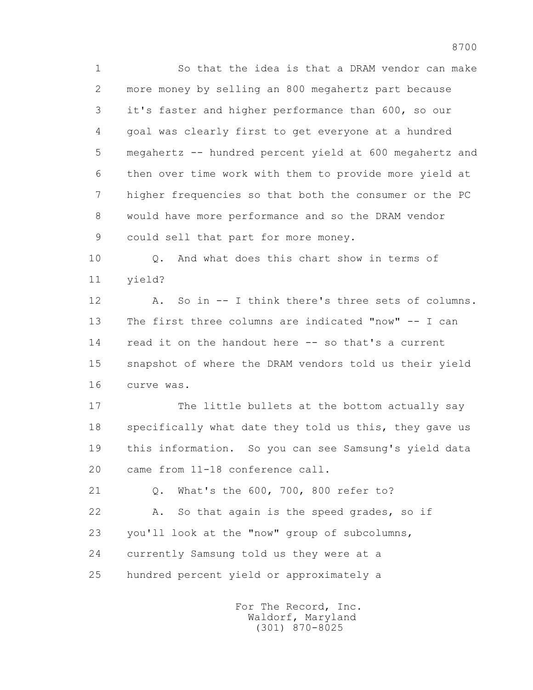1 So that the idea is that a DRAM vendor can make 2 more money by selling an 800 megahertz part because 3 it's faster and higher performance than 600, so our 4 goal was clearly first to get everyone at a hundred 5 megahertz -- hundred percent yield at 600 megahertz and 6 then over time work with them to provide more yield at 7 higher frequencies so that both the consumer or the PC 8 would have more performance and so the DRAM vendor 9 could sell that part for more money.

 10 Q. And what does this chart show in terms of 11 yield?

 12 A. So in -- I think there's three sets of columns. 13 The first three columns are indicated "now" -- I can 14 read it on the handout here -- so that's a current 15 snapshot of where the DRAM vendors told us their yield 16 curve was.

 17 The little bullets at the bottom actually say 18 specifically what date they told us this, they gave us 19 this information. So you can see Samsung's yield data 20 came from 11-18 conference call.

 21 Q. What's the 600, 700, 800 refer to? 22 A. So that again is the speed grades, so if 23 you'll look at the "now" group of subcolumns, 24 currently Samsung told us they were at a 25 hundred percent yield or approximately a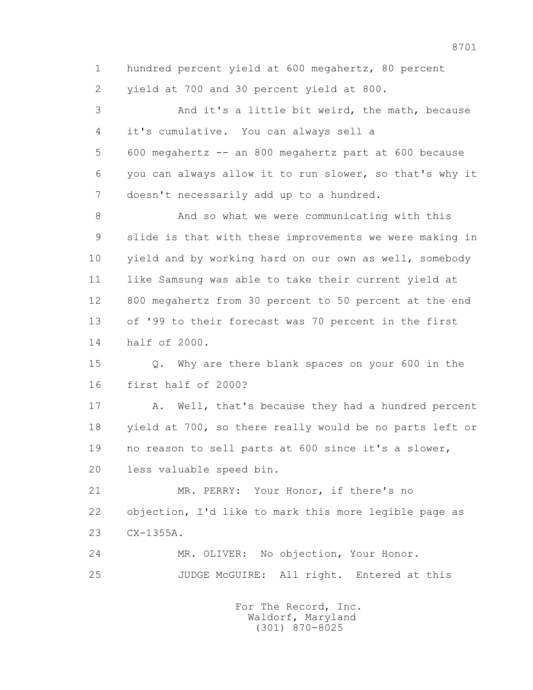1 hundred percent yield at 600 megahertz, 80 percent 2 yield at 700 and 30 percent yield at 800. 3 And it's a little bit weird, the math, because 4 it's cumulative. You can always sell a 5 600 megahertz -- an 800 megahertz part at 600 because 6 you can always allow it to run slower, so that's why it 7 doesn't necessarily add up to a hundred. 8 And so what we were communicating with this 9 slide is that with these improvements we were making in 10 yield and by working hard on our own as well, somebody 11 like Samsung was able to take their current yield at 12 800 megahertz from 30 percent to 50 percent at the end 13 of '99 to their forecast was 70 percent in the first 14 half of 2000. 15 Q. Why are there blank spaces on your 600 in the 16 first half of 2000? 17 A. Well, that's because they had a hundred percent 18 yield at 700, so there really would be no parts left or

 19 no reason to sell parts at 600 since it's a slower, 20 less valuable speed bin.

 21 MR. PERRY: Your Honor, if there's no 22 objection, I'd like to mark this more legible page as 23 CX-1355A.

 24 MR. OLIVER: No objection, Your Honor. 25 JUDGE McGUIRE: All right. Entered at this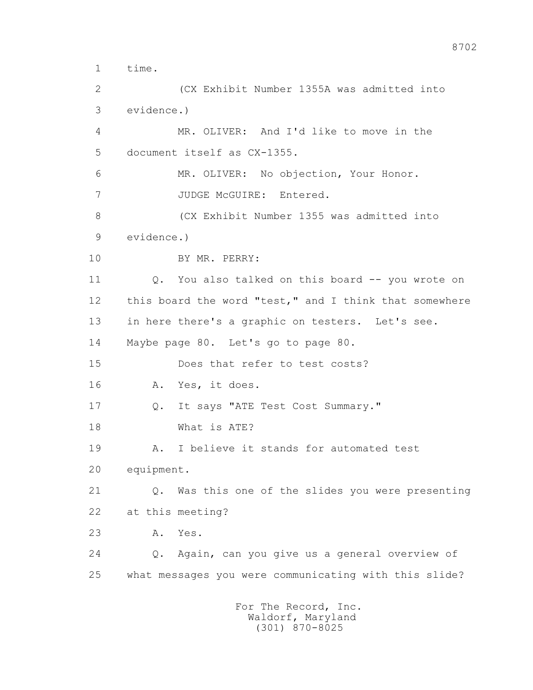1 time. 2 (CX Exhibit Number 1355A was admitted into 3 evidence.) 4 MR. OLIVER: And I'd like to move in the 5 document itself as CX-1355. 6 MR. OLIVER: No objection, Your Honor. 7 JUDGE McGUIRE: Entered. 8 (CX Exhibit Number 1355 was admitted into 9 evidence.) 10 BY MR. PERRY: 11 Q. You also talked on this board -- you wrote on 12 this board the word "test," and I think that somewhere 13 in here there's a graphic on testers. Let's see. 14 Maybe page 80. Let's go to page 80. 15 Does that refer to test costs? 16 A. Yes, it does. 17 Q. It says "ATE Test Cost Summary." 18 What is ATE? 19 A. I believe it stands for automated test 20 equipment. 21 Q. Was this one of the slides you were presenting 22 at this meeting? 23 A. Yes. 24 Q. Again, can you give us a general overview of 25 what messages you were communicating with this slide? For The Record, Inc. Waldorf, Maryland

(301) 870-8025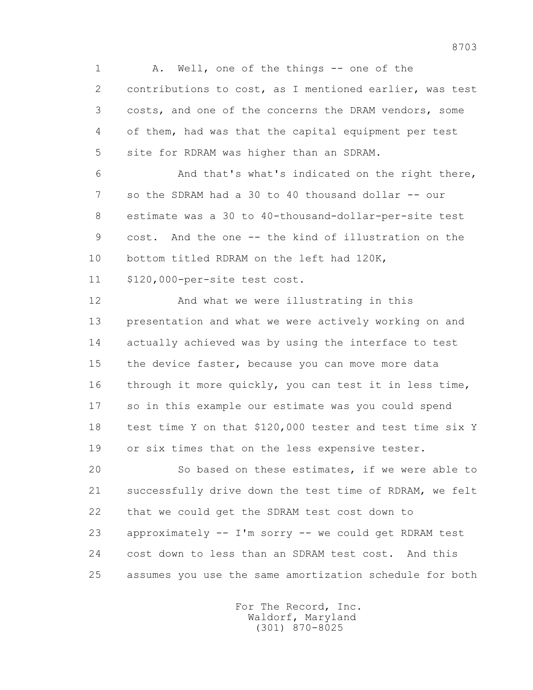1 A. Well, one of the things -- one of the 2 contributions to cost, as I mentioned earlier, was test 3 costs, and one of the concerns the DRAM vendors, some 4 of them, had was that the capital equipment per test 5 site for RDRAM was higher than an SDRAM.

 6 And that's what's indicated on the right there, 7 so the SDRAM had a 30 to 40 thousand dollar -- our 8 estimate was a 30 to 40-thousand-dollar-per-site test 9 cost. And the one -- the kind of illustration on the 10 bottom titled RDRAM on the left had 120K, 11 \$120,000-per-site test cost.

 12 And what we were illustrating in this 13 presentation and what we were actively working on and 14 actually achieved was by using the interface to test 15 the device faster, because you can move more data 16 through it more quickly, you can test it in less time, 17 so in this example our estimate was you could spend 18 test time Y on that \$120,000 tester and test time six Y 19 or six times that on the less expensive tester.

 20 So based on these estimates, if we were able to 21 successfully drive down the test time of RDRAM, we felt 22 that we could get the SDRAM test cost down to 23 approximately -- I'm sorry -- we could get RDRAM test 24 cost down to less than an SDRAM test cost. And this 25 assumes you use the same amortization schedule for both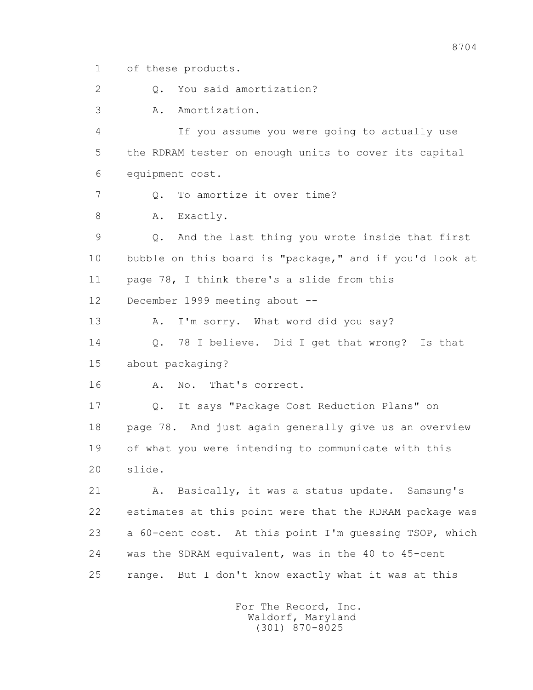1 of these products.

2 0. You said amortization?

3 A. Amortization.

 4 If you assume you were going to actually use 5 the RDRAM tester on enough units to cover its capital 6 equipment cost.

7 0. To amortize it over time?

8 A. Exactly.

 9 Q. And the last thing you wrote inside that first 10 bubble on this board is "package," and if you'd look at 11 page 78, I think there's a slide from this

12 December 1999 meeting about --

13 A. I'm sorry. What word did you say?

14 0. 78 I believe. Did I get that wrong? Is that 15 about packaging?

16 A. No. That's correct.

 17 Q. It says "Package Cost Reduction Plans" on 18 page 78. And just again generally give us an overview 19 of what you were intending to communicate with this 20 slide.

 21 A. Basically, it was a status update. Samsung's 22 estimates at this point were that the RDRAM package was 23 a 60-cent cost. At this point I'm guessing TSOP, which 24 was the SDRAM equivalent, was in the 40 to 45-cent 25 range. But I don't know exactly what it was at this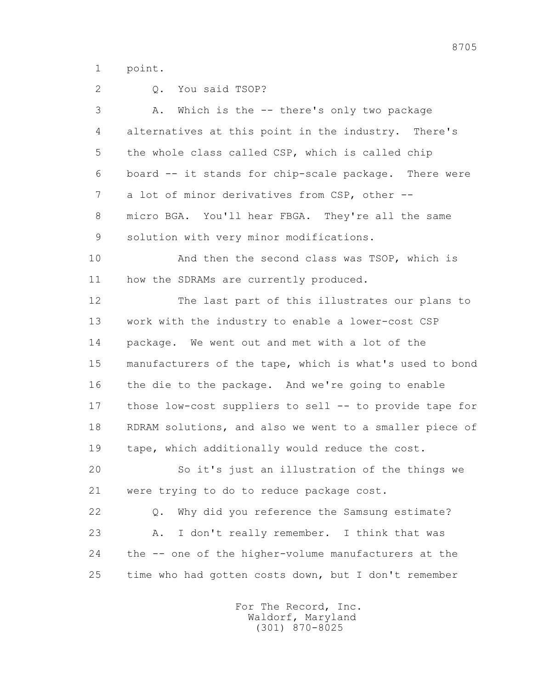1 point.

| 2  | You said TSOP?<br>Q.                                    |
|----|---------------------------------------------------------|
| 3  | Which is the -- there's only two package<br>Α.          |
| 4  | alternatives at this point in the industry. There's     |
| 5  | the whole class called CSP, which is called chip        |
| 6  | board -- it stands for chip-scale package. There were   |
| 7  | a lot of minor derivatives from CSP, other --           |
| 8  | micro BGA. You'll hear FBGA. They're all the same       |
| 9  | solution with very minor modifications.                 |
| 10 | And then the second class was TSOP, which is            |
| 11 | how the SDRAMs are currently produced.                  |
| 12 | The last part of this illustrates our plans to          |
| 13 | work with the industry to enable a lower-cost CSP       |
| 14 | package. We went out and met with a lot of the          |
| 15 | manufacturers of the tape, which is what's used to bond |
| 16 | the die to the package. And we're going to enable       |
| 17 | those low-cost suppliers to sell -- to provide tape for |
| 18 | RDRAM solutions, and also we went to a smaller piece of |
| 19 | tape, which additionally would reduce the cost.         |
| 20 | So it's just an illustration of the things we           |
| 21 | were trying to do to reduce package cost.               |
| 22 | Why did you reference the Samsung estimate?<br>$Q$ .    |
| 23 | I don't really remember. I think that was<br>Α.         |
| 24 | the -- one of the higher-volume manufacturers at the    |
| 25 | time who had gotten costs down, but I don't remember    |
|    |                                                         |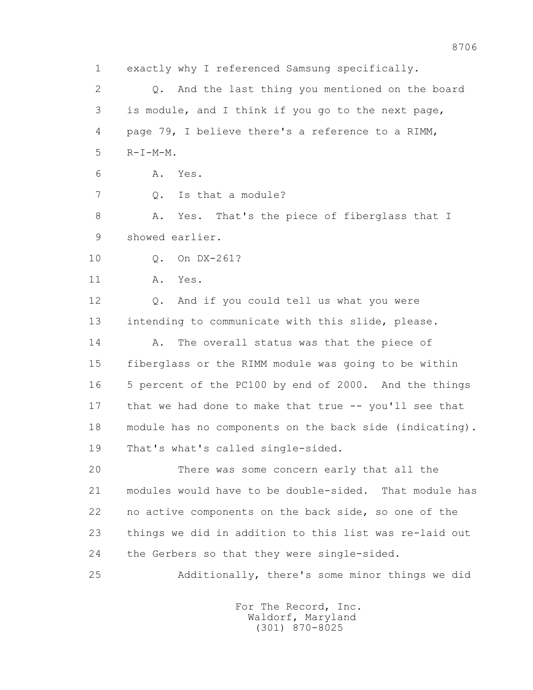1 exactly why I referenced Samsung specifically. 2 Q. And the last thing you mentioned on the board 3 is module, and I think if you go to the next page, 4 page 79, I believe there's a reference to a RIMM,  $5$   $R-I-M-M$ . 6 A. Yes. 7 Q. Is that a module? 8 A. Yes. That's the piece of fiberglass that I 9 showed earlier. 10 Q. On DX-261? 11 A. Yes. 12 Q. And if you could tell us what you were 13 intending to communicate with this slide, please. 14 A. The overall status was that the piece of 15 fiberglass or the RIMM module was going to be within 16 5 percent of the PC100 by end of 2000. And the things 17 that we had done to make that true -- you'll see that 18 module has no components on the back side (indicating). 19 That's what's called single-sided. 20 There was some concern early that all the 21 modules would have to be double-sided. That module has 22 no active components on the back side, so one of the 23 things we did in addition to this list was re-laid out 24 the Gerbers so that they were single-sided. 25 Additionally, there's some minor things we did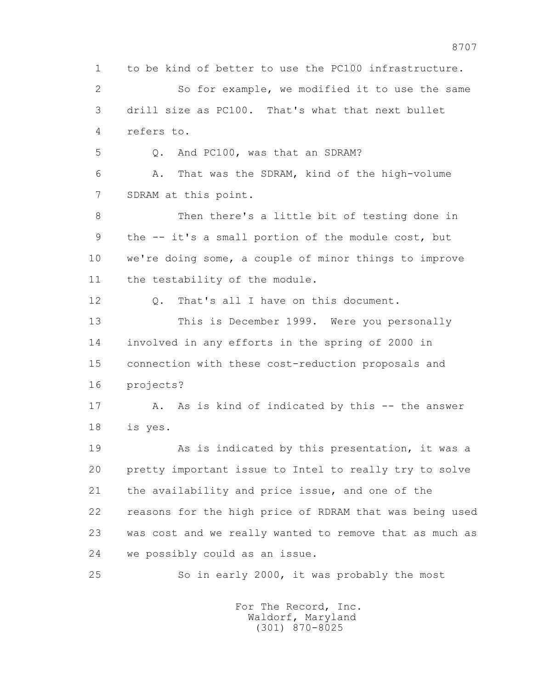1 to be kind of better to use the PC100 infrastructure. 2 So for example, we modified it to use the same 3 drill size as PC100. That's what that next bullet 4 refers to. 5 Q. And PC100, was that an SDRAM? 6 A. That was the SDRAM, kind of the high-volume 7 SDRAM at this point. 8 Then there's a little bit of testing done in 9 the -- it's a small portion of the module cost, but 10 we're doing some, a couple of minor things to improve 11 the testability of the module. 12 0. That's all I have on this document. 13 This is December 1999. Were you personally 14 involved in any efforts in the spring of 2000 in 15 connection with these cost-reduction proposals and 16 projects? 17 A. As is kind of indicated by this -- the answer 18 is yes. 19 This is indicated by this presentation, it was a 20 pretty important issue to Intel to really try to solve 21 the availability and price issue, and one of the 22 reasons for the high price of RDRAM that was being used 23 was cost and we really wanted to remove that as much as 24 we possibly could as an issue. 25 So in early 2000, it was probably the most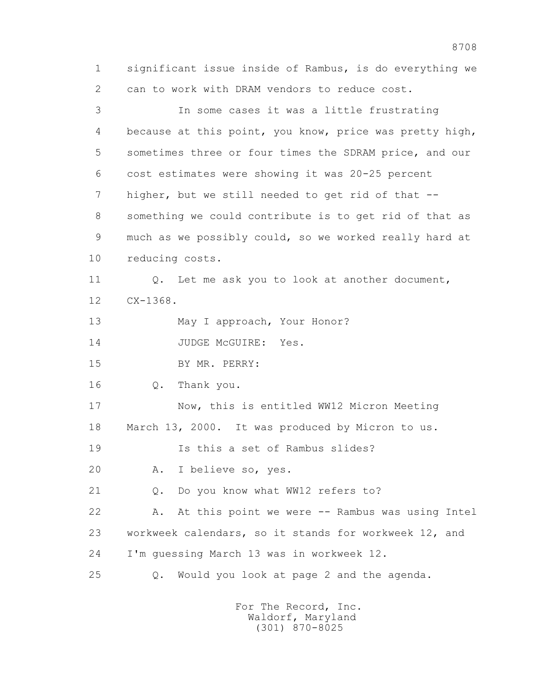1 significant issue inside of Rambus, is do everything we 2 can to work with DRAM vendors to reduce cost. 3 In some cases it was a little frustrating 4 because at this point, you know, price was pretty high, 5 sometimes three or four times the SDRAM price, and our 6 cost estimates were showing it was 20-25 percent 7 higher, but we still needed to get rid of that -- 8 something we could contribute is to get rid of that as 9 much as we possibly could, so we worked really hard at 10 reducing costs. 11 0. Let me ask you to look at another document, 12 CX-1368. 13 May I approach, Your Honor? 14 JUDGE McGUIRE: Yes. 15 BY MR. PERRY: 16 Q. Thank you. 17 Now, this is entitled WW12 Micron Meeting 18 March 13, 2000. It was produced by Micron to us. 19 Is this a set of Rambus slides? 20 A. I believe so, yes. 21 Q. Do you know what WW12 refers to? 22 A. At this point we were -- Rambus was using Intel 23 workweek calendars, so it stands for workweek 12, and 24 I'm guessing March 13 was in workweek 12. 25 Q. Would you look at page 2 and the agenda.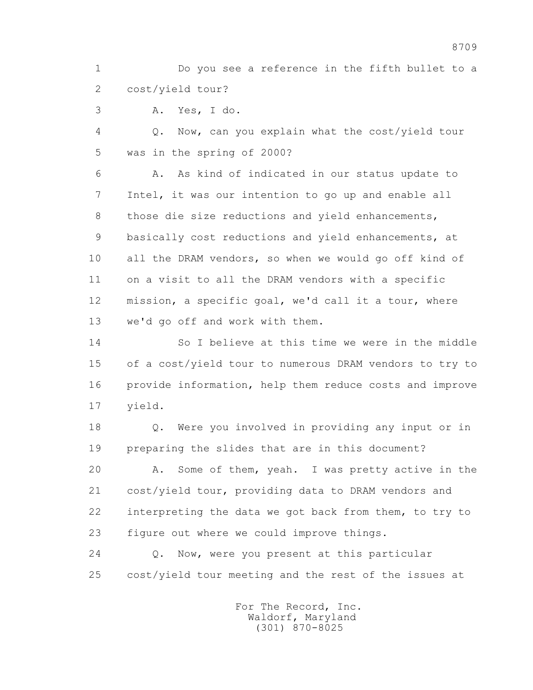1 Do you see a reference in the fifth bullet to a 2 cost/yield tour?

3 A. Yes, I do.

 4 Q. Now, can you explain what the cost/yield tour 5 was in the spring of 2000?

 6 A. As kind of indicated in our status update to 7 Intel, it was our intention to go up and enable all 8 those die size reductions and yield enhancements, 9 basically cost reductions and yield enhancements, at 10 all the DRAM vendors, so when we would go off kind of 11 on a visit to all the DRAM vendors with a specific 12 mission, a specific goal, we'd call it a tour, where 13 we'd go off and work with them.

 14 So I believe at this time we were in the middle 15 of a cost/yield tour to numerous DRAM vendors to try to 16 provide information, help them reduce costs and improve 17 yield.

 18 Q. Were you involved in providing any input or in 19 preparing the slides that are in this document?

 20 A. Some of them, yeah. I was pretty active in the 21 cost/yield tour, providing data to DRAM vendors and 22 interpreting the data we got back from them, to try to 23 figure out where we could improve things.

 24 Q. Now, were you present at this particular 25 cost/yield tour meeting and the rest of the issues at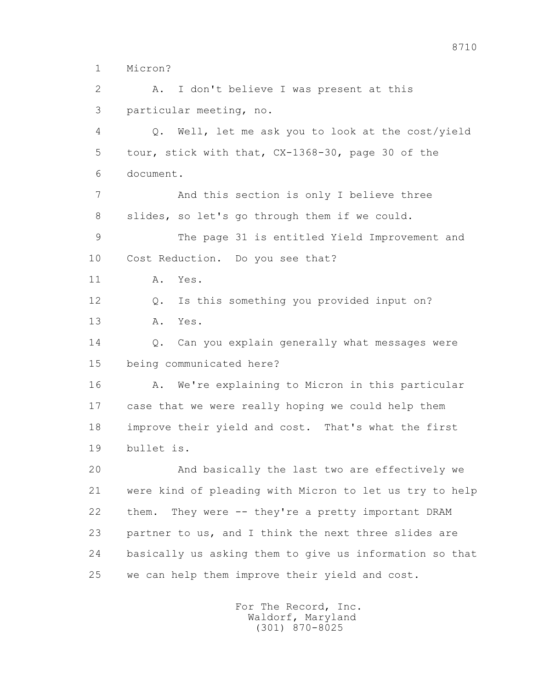1 Micron?

 2 A. I don't believe I was present at this 3 particular meeting, no. 4 Q. Well, let me ask you to look at the cost/yield 5 tour, stick with that, CX-1368-30, page 30 of the 6 document. 7 And this section is only I believe three 8 slides, so let's go through them if we could. 9 The page 31 is entitled Yield Improvement and 10 Cost Reduction. Do you see that? 11 A. Yes. 12 Q. Is this something you provided input on? 13 A. Yes. 14 Q. Can you explain generally what messages were 15 being communicated here? 16 A. We're explaining to Micron in this particular 17 case that we were really hoping we could help them 18 improve their yield and cost. That's what the first 19 bullet is. 20 And basically the last two are effectively we 21 were kind of pleading with Micron to let us try to help 22 them. They were -- they're a pretty important DRAM 23 partner to us, and I think the next three slides are 24 basically us asking them to give us information so that 25 we can help them improve their yield and cost.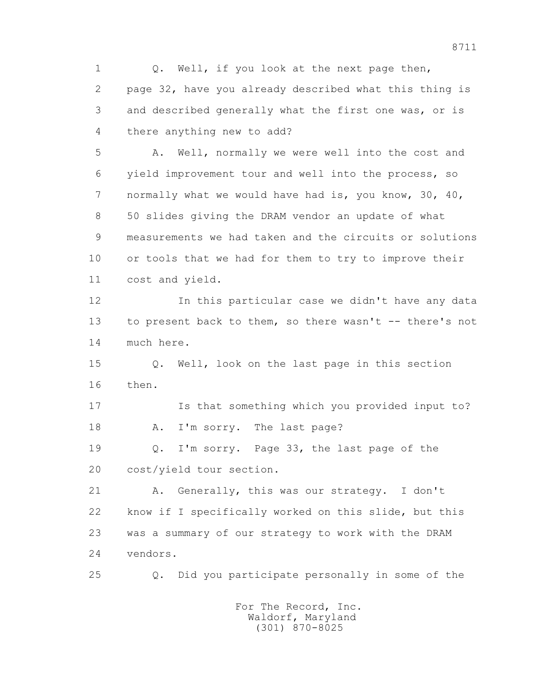1 0. Well, if you look at the next page then, 2 page 32, have you already described what this thing is 3 and described generally what the first one was, or is 4 there anything new to add? 5 A. Well, normally we were well into the cost and 6 yield improvement tour and well into the process, so 7 normally what we would have had is, you know, 30, 40, 8 50 slides giving the DRAM vendor an update of what

 9 measurements we had taken and the circuits or solutions 10 or tools that we had for them to try to improve their 11 cost and yield.

 12 In this particular case we didn't have any data 13 to present back to them, so there wasn't -- there's not 14 much here.

 15 Q. Well, look on the last page in this section 16 then.

 17 Is that something which you provided input to? 18 A. I'm sorry. The last page?

 19 Q. I'm sorry. Page 33, the last page of the 20 cost/yield tour section.

 21 A. Generally, this was our strategy. I don't 22 know if I specifically worked on this slide, but this 23 was a summary of our strategy to work with the DRAM 24 vendors.

25 Q. Did you participate personally in some of the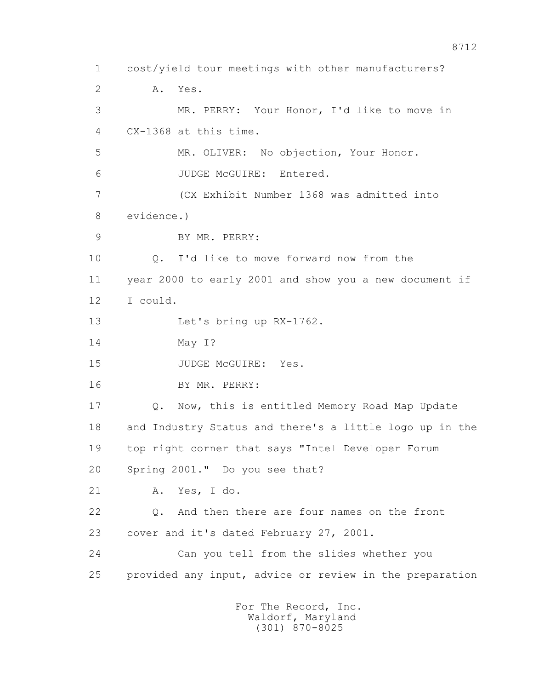1 cost/yield tour meetings with other manufacturers? 2 A. Yes. 3 MR. PERRY: Your Honor, I'd like to move in 4 CX-1368 at this time. 5 MR. OLIVER: No objection, Your Honor. 6 JUDGE McGUIRE: Entered. 7 (CX Exhibit Number 1368 was admitted into 8 evidence.) 9 BY MR. PERRY: 10 Q. I'd like to move forward now from the 11 year 2000 to early 2001 and show you a new document if 12 I could. 13 Let's bring up RX-1762. 14 May I? 15 JUDGE McGUIRE: Yes. 16 BY MR. PERRY: 17 Q. Now, this is entitled Memory Road Map Update 18 and Industry Status and there's a little logo up in the 19 top right corner that says "Intel Developer Forum 20 Spring 2001." Do you see that? 21 A. Yes, I do. 22 Q. And then there are four names on the front 23 cover and it's dated February 27, 2001. 24 Can you tell from the slides whether you 25 provided any input, advice or review in the preparation For The Record, Inc. Waldorf, Maryland

(301) 870-8025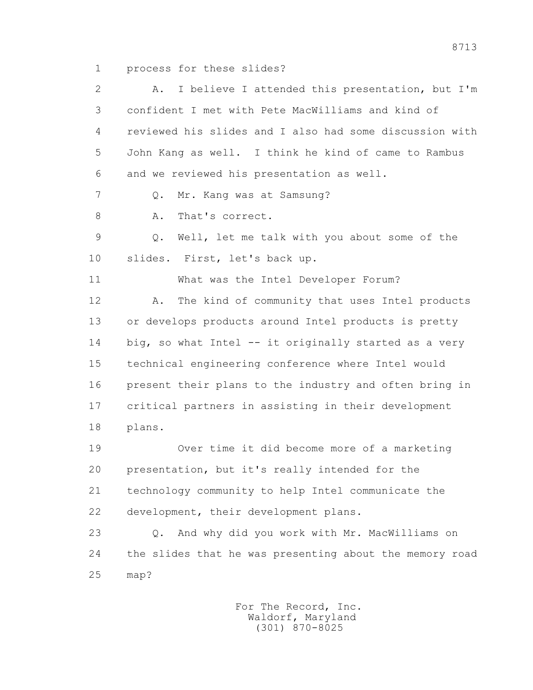1 process for these slides?

 2 A. I believe I attended this presentation, but I'm 3 confident I met with Pete MacWilliams and kind of 4 reviewed his slides and I also had some discussion with 5 John Kang as well. I think he kind of came to Rambus 6 and we reviewed his presentation as well. 7 Q. Mr. Kang was at Samsung? 8 A. That's correct. 9 Q. Well, let me talk with you about some of the 10 slides. First, let's back up. 11 What was the Intel Developer Forum? 12 A. The kind of community that uses Intel products 13 or develops products around Intel products is pretty 14 big, so what Intel -- it originally started as a very 15 technical engineering conference where Intel would 16 present their plans to the industry and often bring in 17 critical partners in assisting in their development 18 plans. 19 Over time it did become more of a marketing 20 presentation, but it's really intended for the 21 technology community to help Intel communicate the 22 development, their development plans. 23 Q. And why did you work with Mr. MacWilliams on 24 the slides that he was presenting about the memory road 25 map?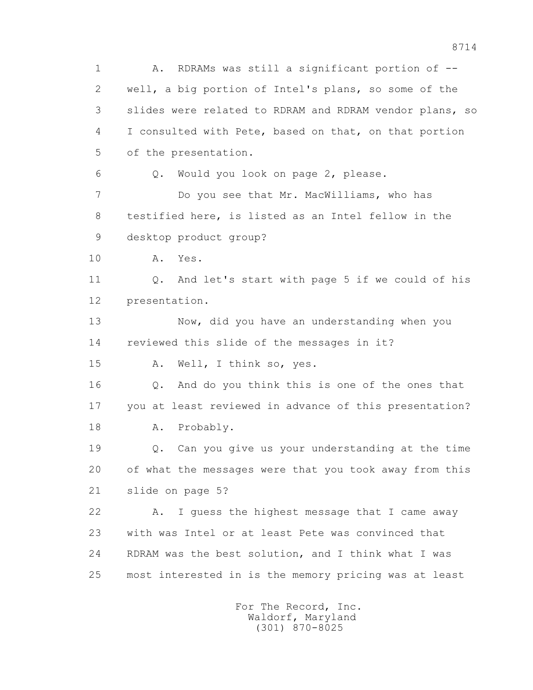1 A. RDRAMs was still a significant portion of -- 2 well, a big portion of Intel's plans, so some of the 3 slides were related to RDRAM and RDRAM vendor plans, so 4 I consulted with Pete, based on that, on that portion 5 of the presentation. 6 Q. Would you look on page 2, please. 7 Do you see that Mr. MacWilliams, who has 8 testified here, is listed as an Intel fellow in the 9 desktop product group? 10 A. Yes. 11 Q. And let's start with page 5 if we could of his 12 presentation. 13 Now, did you have an understanding when you 14 reviewed this slide of the messages in it? 15 A. Well, I think so, yes. 16 Q. And do you think this is one of the ones that 17 you at least reviewed in advance of this presentation? 18 A. Probably. 19 Q. Can you give us your understanding at the time 20 of what the messages were that you took away from this 21 slide on page 5? 22 A. I guess the highest message that I came away 23 with was Intel or at least Pete was convinced that 24 RDRAM was the best solution, and I think what I was 25 most interested in is the memory pricing was at least For The Record, Inc.

 Waldorf, Maryland (301) 870-8025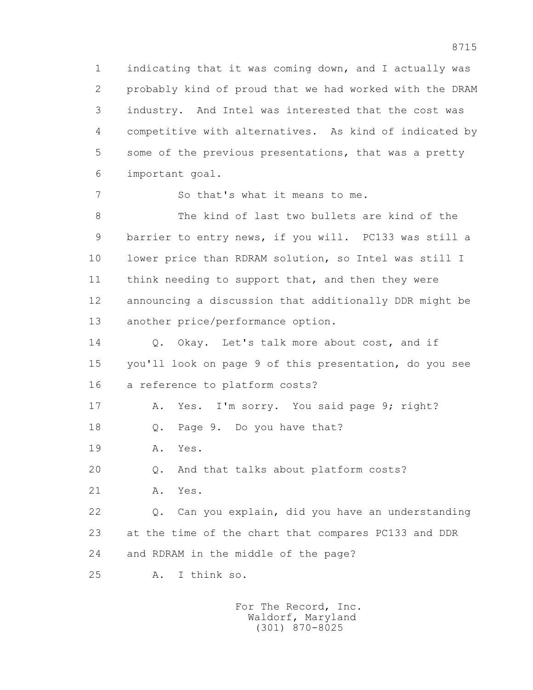1 indicating that it was coming down, and I actually was 2 probably kind of proud that we had worked with the DRAM 3 industry. And Intel was interested that the cost was 4 competitive with alternatives. As kind of indicated by 5 some of the previous presentations, that was a pretty 6 important goal.

7 So that's what it means to me.

 8 The kind of last two bullets are kind of the 9 barrier to entry news, if you will. PC133 was still a 10 lower price than RDRAM solution, so Intel was still I 11 think needing to support that, and then they were 12 announcing a discussion that additionally DDR might be 13 another price/performance option.

14 0. Okay. Let's talk more about cost, and if 15 you'll look on page 9 of this presentation, do you see 16 a reference to platform costs?

17 A. Yes. I'm sorry. You said page 9; right?

18 Q. Page 9. Do you have that?

19 A. Yes.

20 Q. And that talks about platform costs?

21 A. Yes.

 22 Q. Can you explain, did you have an understanding 23 at the time of the chart that compares PC133 and DDR 24 and RDRAM in the middle of the page?

25 A. I think so.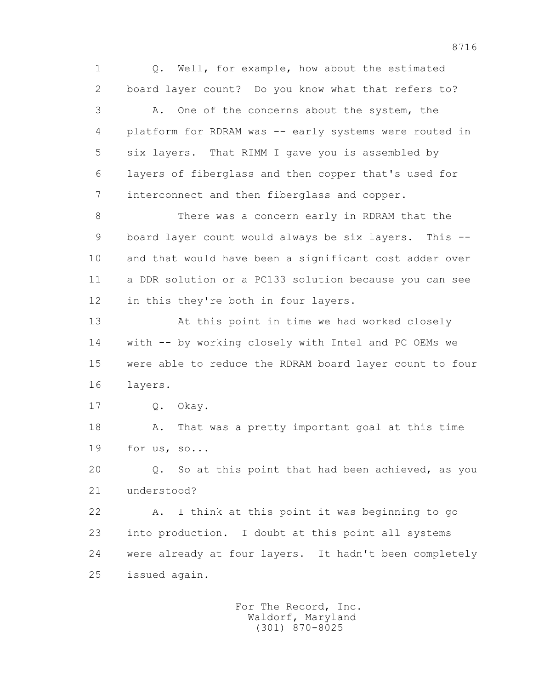1 Q. Well, for example, how about the estimated 2 board layer count? Do you know what that refers to? 3 A. One of the concerns about the system, the 4 platform for RDRAM was -- early systems were routed in 5 six layers. That RIMM I gave you is assembled by 6 layers of fiberglass and then copper that's used for 7 interconnect and then fiberglass and copper. 8 There was a concern early in RDRAM that the

 9 board layer count would always be six layers. This -- 10 and that would have been a significant cost adder over 11 a DDR solution or a PC133 solution because you can see 12 in this they're both in four layers.

 13 At this point in time we had worked closely 14 with -- by working closely with Intel and PC OEMs we 15 were able to reduce the RDRAM board layer count to four 16 layers.

17 Q. Okay.

 18 A. That was a pretty important goal at this time 19 for us, so...

 20 Q. So at this point that had been achieved, as you 21 understood?

 22 A. I think at this point it was beginning to go 23 into production. I doubt at this point all systems 24 were already at four layers. It hadn't been completely 25 issued again.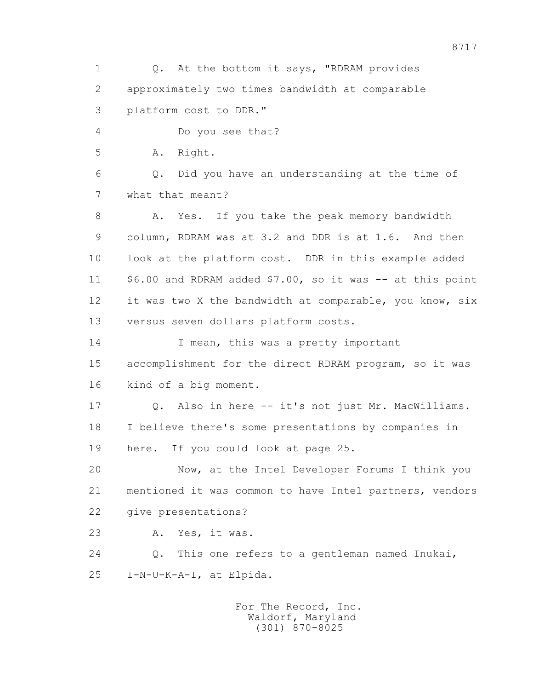1 Q. At the bottom it says, "RDRAM provides 2 approximately two times bandwidth at comparable 3 platform cost to DDR." 4 Do you see that? 5 A. Right. 6 Q. Did you have an understanding at the time of 7 what that meant? 8 A. Yes. If you take the peak memory bandwidth 9 column, RDRAM was at 3.2 and DDR is at 1.6. And then 10 look at the platform cost. DDR in this example added 11 \$6.00 and RDRAM added \$7.00, so it was -- at this point 12 it was two X the bandwidth at comparable, you know, six 13 versus seven dollars platform costs. 14 I mean, this was a pretty important 15 accomplishment for the direct RDRAM program, so it was 16 kind of a big moment. 17 Q. Also in here -- it's not just Mr. MacWilliams. 18 I believe there's some presentations by companies in 19 here. If you could look at page 25. 20 Now, at the Intel Developer Forums I think you 21 mentioned it was common to have Intel partners, vendors 22 give presentations? 23 A. Yes, it was. 24 Q. This one refers to a gentleman named Inukai, 25 I-N-U-K-A-I, at Elpida.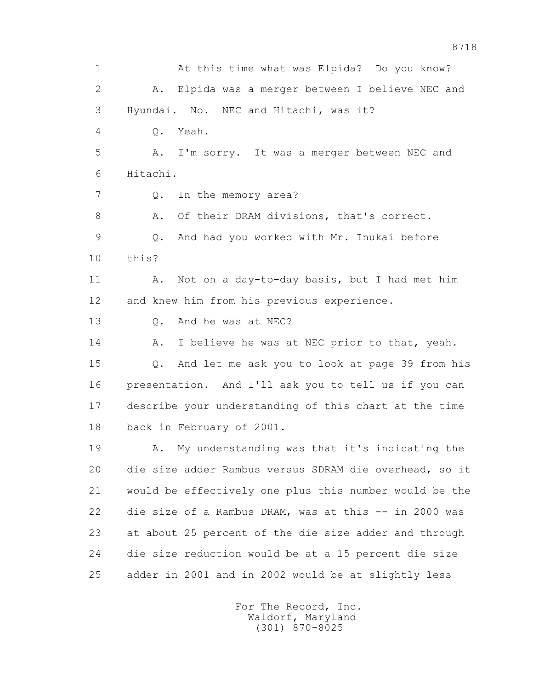1 At this time what was Elpida? Do you know? 2 A. Elpida was a merger between I believe NEC and 3 Hyundai. No. NEC and Hitachi, was it? 4 Q. Yeah. 5 A. I'm sorry. It was a merger between NEC and 6 Hitachi. 7 Q. In the memory area? 8 A. Of their DRAM divisions, that's correct. 9 Q. And had you worked with Mr. Inukai before 10 this? 11 A. Not on a day-to-day basis, but I had met him 12 and knew him from his previous experience. 13 Q. And he was at NEC? 14 A. I believe he was at NEC prior to that, yeah. 15 Q. And let me ask you to look at page 39 from his 16 presentation. And I'll ask you to tell us if you can 17 describe your understanding of this chart at the time 18 back in February of 2001. 19 A. My understanding was that it's indicating the 20 die size adder Rambus versus SDRAM die overhead, so it 21 would be effectively one plus this number would be the 22 die size of a Rambus DRAM, was at this -- in 2000 was 23 at about 25 percent of the die size adder and through 24 die size reduction would be at a 15 percent die size 25 adder in 2001 and in 2002 would be at slightly less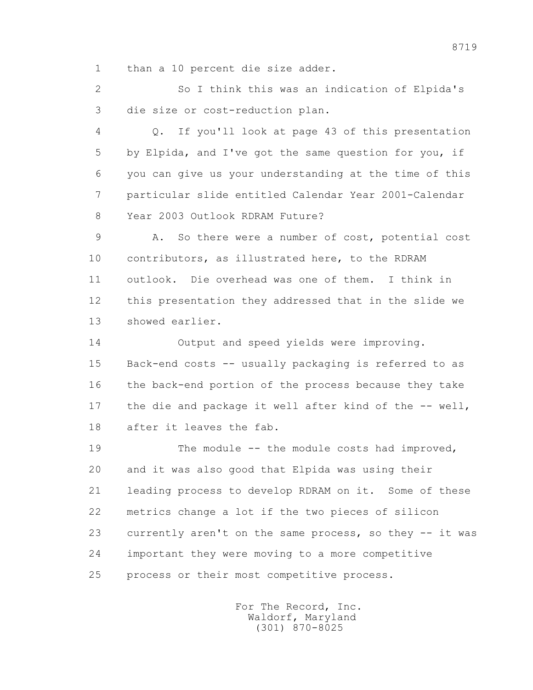1 than a 10 percent die size adder.

 2 So I think this was an indication of Elpida's 3 die size or cost-reduction plan.

 4 Q. If you'll look at page 43 of this presentation 5 by Elpida, and I've got the same question for you, if 6 you can give us your understanding at the time of this 7 particular slide entitled Calendar Year 2001-Calendar 8 Year 2003 Outlook RDRAM Future?

 9 A. So there were a number of cost, potential cost 10 contributors, as illustrated here, to the RDRAM 11 outlook. Die overhead was one of them. I think in 12 this presentation they addressed that in the slide we 13 showed earlier.

 14 Output and speed yields were improving. 15 Back-end costs -- usually packaging is referred to as 16 the back-end portion of the process because they take 17 the die and package it well after kind of the -- well, 18 after it leaves the fab.

 19 The module -- the module costs had improved, 20 and it was also good that Elpida was using their 21 leading process to develop RDRAM on it. Some of these 22 metrics change a lot if the two pieces of silicon 23 currently aren't on the same process, so they -- it was 24 important they were moving to a more competitive 25 process or their most competitive process.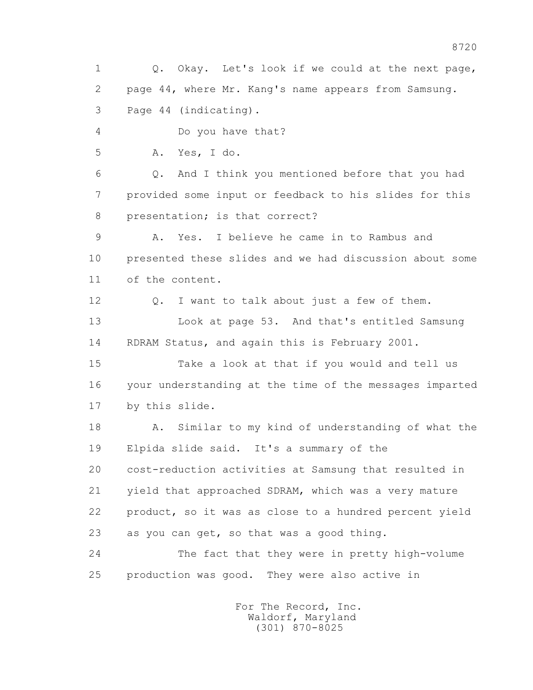1 Q. Okay. Let's look if we could at the next page, 2 page 44, where Mr. Kang's name appears from Samsung. 3 Page 44 (indicating). 4 Do you have that? 5 A. Yes, I do. 6 Q. And I think you mentioned before that you had 7 provided some input or feedback to his slides for this 8 presentation; is that correct? 9 A. Yes. I believe he came in to Rambus and 10 presented these slides and we had discussion about some 11 of the content. 12 Q. I want to talk about just a few of them. 13 Look at page 53. And that's entitled Samsung 14 RDRAM Status, and again this is February 2001. 15 Take a look at that if you would and tell us 16 your understanding at the time of the messages imparted 17 by this slide. 18 A. Similar to my kind of understanding of what the 19 Elpida slide said. It's a summary of the 20 cost-reduction activities at Samsung that resulted in 21 yield that approached SDRAM, which was a very mature 22 product, so it was as close to a hundred percent yield 23 as you can get, so that was a good thing. 24 The fact that they were in pretty high-volume 25 production was good. They were also active in For The Record, Inc.

 Waldorf, Maryland (301) 870-8025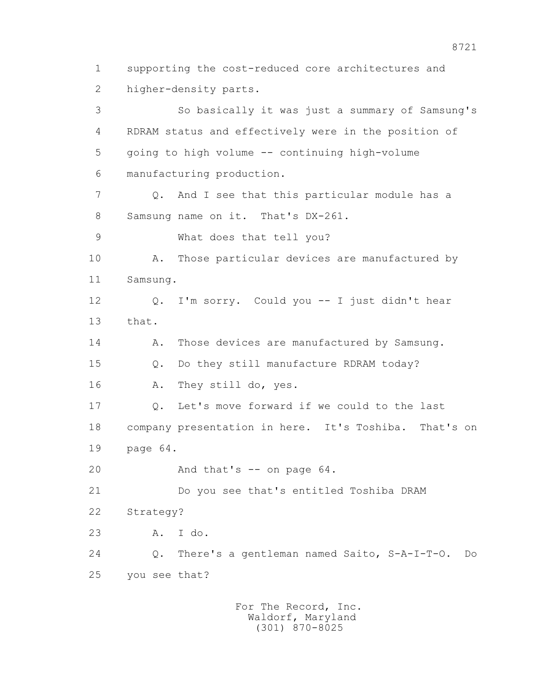2 higher-density parts. 3 So basically it was just a summary of Samsung's 4 RDRAM status and effectively were in the position of 5 going to high volume -- continuing high-volume 6 manufacturing production. 7 Q. And I see that this particular module has a 8 Samsung name on it. That's DX-261. 9 What does that tell you? 10 A. Those particular devices are manufactured by 11 Samsung. 12 Q. I'm sorry. Could you -- I just didn't hear 13 that. 14 A. Those devices are manufactured by Samsung. 15 Q. Do they still manufacture RDRAM today? 16 A. They still do, yes. 17 Q. Let's move forward if we could to the last 18 company presentation in here. It's Toshiba. That's on 19 page 64. 20 And that's -- on page 64. 21 Do you see that's entitled Toshiba DRAM 22 Strategy? 23 A. I do. 24 Q. There's a gentleman named Saito, S-A-I-T-O. Do 25 you see that? For The Record, Inc.

1 supporting the cost-reduced core architectures and

 Waldorf, Maryland (301) 870-8025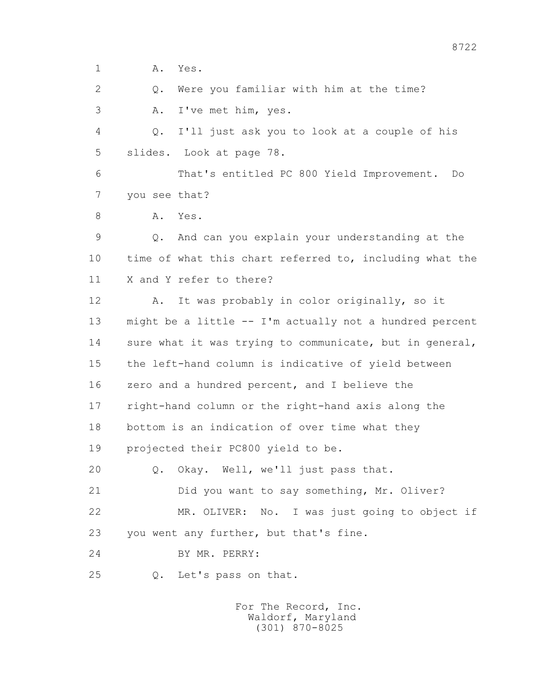1 **A.** Yes.

2 Q. Were you familiar with him at the time?

3 A. I've met him, yes.

 4 Q. I'll just ask you to look at a couple of his 5 slides. Look at page 78.

 6 That's entitled PC 800 Yield Improvement. Do 7 you see that?

8 A. Yes.

 9 Q. And can you explain your understanding at the 10 time of what this chart referred to, including what the 11 X and Y refer to there?

 12 A. It was probably in color originally, so it 13 might be a little -- I'm actually not a hundred percent 14 sure what it was trying to communicate, but in general, 15 the left-hand column is indicative of yield between 16 zero and a hundred percent, and I believe the 17 right-hand column or the right-hand axis along the 18 bottom is an indication of over time what they 19 projected their PC800 yield to be.

20 Q. Okay. Well, we'll just pass that.

21 Did you want to say something, Mr. Oliver?

22 MR. OLIVER: No. I was just going to object if

23 you went any further, but that's fine.

24 BY MR. PERRY:

25 Q. Let's pass on that.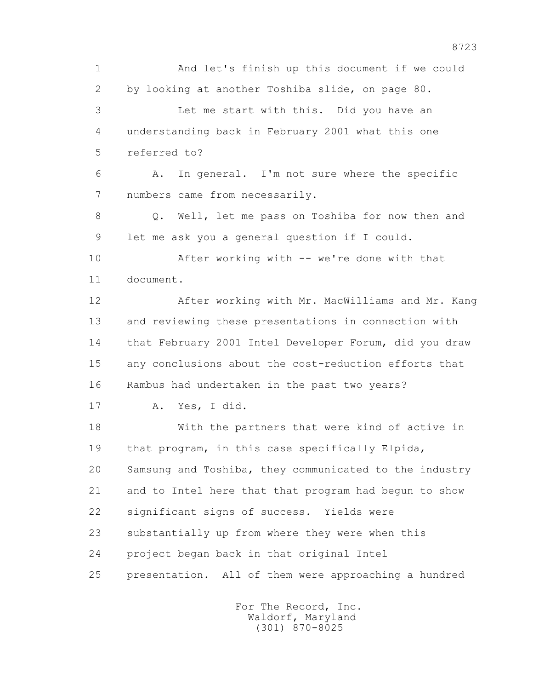1 And let's finish up this document if we could 2 by looking at another Toshiba slide, on page 80. 3 Let me start with this. Did you have an 4 understanding back in February 2001 what this one 5 referred to? 6 A. In general. I'm not sure where the specific 7 numbers came from necessarily. 8 Q. Well, let me pass on Toshiba for now then and 9 let me ask you a general question if I could. 10 After working with -- we're done with that 11 document. 12 After working with Mr. MacWilliams and Mr. Kang 13 and reviewing these presentations in connection with 14 that February 2001 Intel Developer Forum, did you draw 15 any conclusions about the cost-reduction efforts that 16 Rambus had undertaken in the past two years? 17 A. Yes, I did. 18 With the partners that were kind of active in 19 that program, in this case specifically Elpida, 20 Samsung and Toshiba, they communicated to the industry 21 and to Intel here that that program had begun to show 22 significant signs of success. Yields were 23 substantially up from where they were when this 24 project began back in that original Intel 25 presentation. All of them were approaching a hundred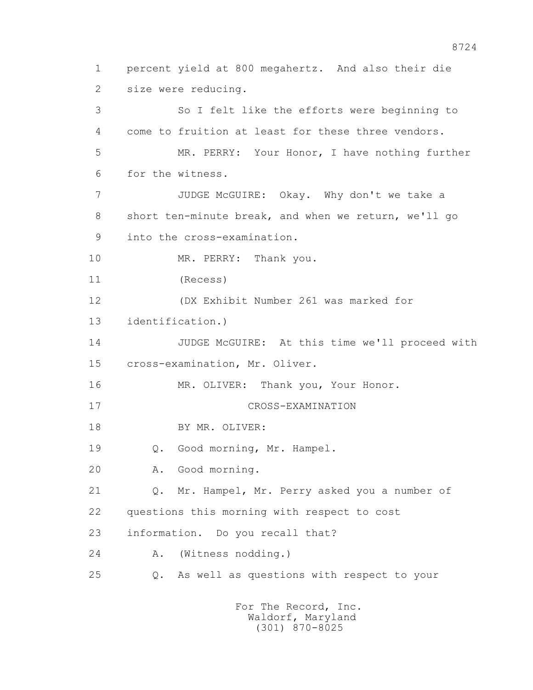1 percent yield at 800 megahertz. And also their die 2 size were reducing. 3 So I felt like the efforts were beginning to 4 come to fruition at least for these three vendors. 5 MR. PERRY: Your Honor, I have nothing further 6 for the witness. 7 JUDGE McGUIRE: Okay. Why don't we take a 8 short ten-minute break, and when we return, we'll go 9 into the cross-examination. 10 MR. PERRY: Thank you. 11 (Recess) 12 (DX Exhibit Number 261 was marked for 13 identification.) 14 JUDGE McGUIRE: At this time we'll proceed with 15 cross-examination, Mr. Oliver. 16 MR. OLIVER: Thank you, Your Honor. 17 CROSS-EXAMINATION 18 BY MR. OLIVER: 19 Q. Good morning, Mr. Hampel. 20 A. Good morning. 21 Q. Mr. Hampel, Mr. Perry asked you a number of 22 questions this morning with respect to cost 23 information. Do you recall that? 24 A. (Witness nodding.) 25 Q. As well as questions with respect to your For The Record, Inc.

 Waldorf, Maryland (301) 870-8025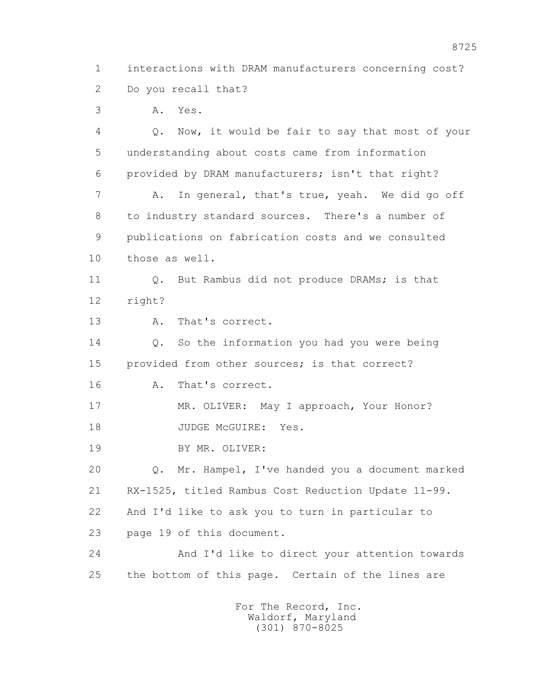1 interactions with DRAM manufacturers concerning cost? 2 Do you recall that?

3 A. Yes.

 4 Q. Now, it would be fair to say that most of your 5 understanding about costs came from information 6 provided by DRAM manufacturers; isn't that right? 7 A. In general, that's true, yeah. We did go off 8 to industry standard sources. There's a number of 9 publications on fabrication costs and we consulted 10 those as well. 11 0. But Rambus did not produce DRAMs; is that 12 right? 13 A. That's correct. 14 0. So the information you had you were being 15 provided from other sources; is that correct? 16 A. That's correct. 17 MR. OLIVER: May I approach, Your Honor? 18 JUDGE McGUIRE: Yes. 19 BY MR. OLIVER: 20 Q. Mr. Hampel, I've handed you a document marked 21 RX-1525, titled Rambus Cost Reduction Update 11-99. 22 And I'd like to ask you to turn in particular to 23 page 19 of this document. 24 And I'd like to direct your attention towards 25 the bottom of this page. Certain of the lines are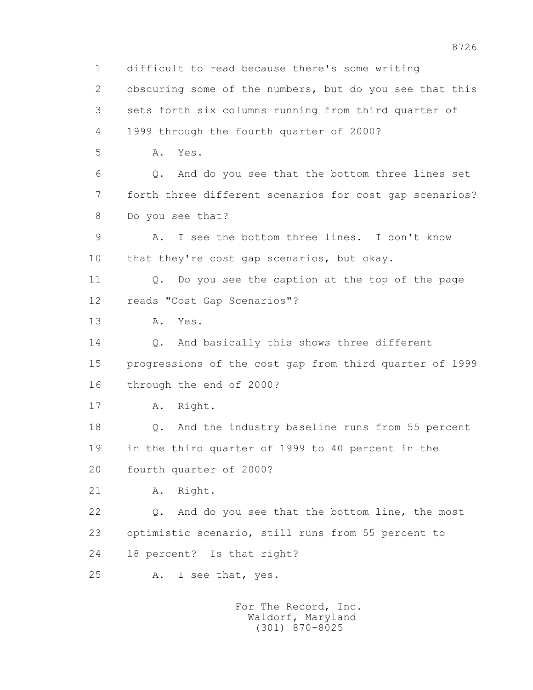1 difficult to read because there's some writing 2 obscuring some of the numbers, but do you see that this 3 sets forth six columns running from third quarter of 4 1999 through the fourth quarter of 2000? 5 A. Yes. 6 Q. And do you see that the bottom three lines set 7 forth three different scenarios for cost gap scenarios? 8 Do you see that? 9 A. I see the bottom three lines. I don't know 10 that they're cost gap scenarios, but okay. 11 Q. Do you see the caption at the top of the page 12 reads "Cost Gap Scenarios"? 13 A. Yes. 14 0. And basically this shows three different 15 progressions of the cost gap from third quarter of 1999 16 through the end of 2000? 17 A. Right. 18 Q. And the industry baseline runs from 55 percent 19 in the third quarter of 1999 to 40 percent in the 20 fourth quarter of 2000? 21 A. Right. 22 Q. And do you see that the bottom line, the most 23 optimistic scenario, still runs from 55 percent to 24 18 percent? Is that right? 25 A. I see that, yes. For The Record, Inc.

 Waldorf, Maryland (301) 870-8025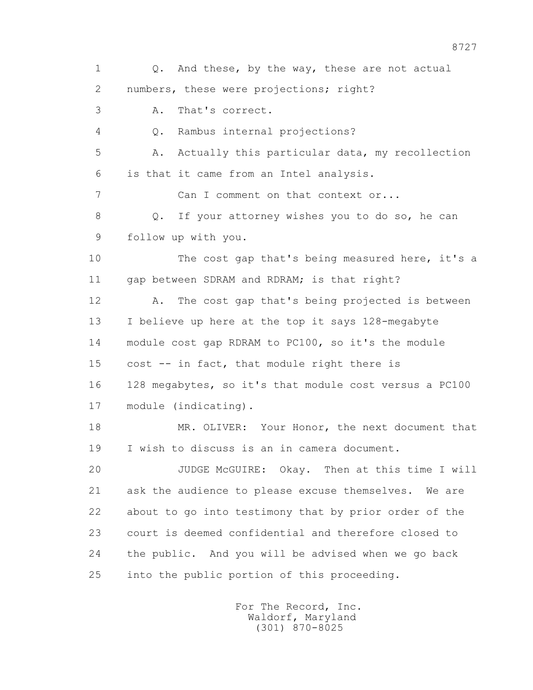1 Q. And these, by the way, these are not actual 2 numbers, these were projections; right? 3 A. That's correct. 4 Q. Rambus internal projections? 5 A. Actually this particular data, my recollection 6 is that it came from an Intel analysis. 7 Can I comment on that context or... 8 Q. If your attorney wishes you to do so, he can 9 follow up with you. 10 The cost gap that's being measured here, it's a 11 gap between SDRAM and RDRAM; is that right? 12 A. The cost gap that's being projected is between 13 I believe up here at the top it says 128-megabyte 14 module cost gap RDRAM to PC100, so it's the module 15 cost -- in fact, that module right there is 16 128 megabytes, so it's that module cost versus a PC100 17 module (indicating). 18 MR. OLIVER: Your Honor, the next document that 19 I wish to discuss is an in camera document. 20 JUDGE McGUIRE: Okay. Then at this time I will 21 ask the audience to please excuse themselves. We are 22 about to go into testimony that by prior order of the 23 court is deemed confidential and therefore closed to 24 the public. And you will be advised when we go back 25 into the public portion of this proceeding.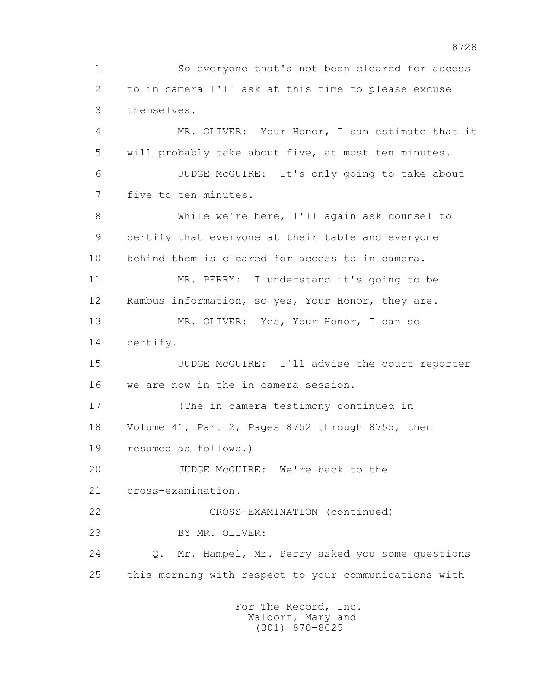1 So everyone that's not been cleared for access 2 to in camera I'll ask at this time to please excuse 3 themselves. 4 MR. OLIVER: Your Honor, I can estimate that it 5 will probably take about five, at most ten minutes. 6 JUDGE McGUIRE: It's only going to take about 7 five to ten minutes. 8 While we're here, I'll again ask counsel to 9 certify that everyone at their table and everyone 10 behind them is cleared for access to in camera. 11 MR. PERRY: I understand it's going to be 12 Rambus information, so yes, Your Honor, they are. 13 MR. OLIVER: Yes, Your Honor, I can so 14 certify. 15 JUDGE McGUIRE: I'll advise the court reporter 16 we are now in the in camera session. 17 (The in camera testimony continued in 18 Volume 41, Part 2, Pages 8752 through 8755, then 19 resumed as follows.) 20 JUDGE McGUIRE: We're back to the 21 cross-examination. 22 CROSS-EXAMINATION (continued) 23 BY MR. OLIVER: 24 Q. Mr. Hampel, Mr. Perry asked you some questions 25 this morning with respect to your communications with For The Record, Inc.

 Waldorf, Maryland (301) 870-8025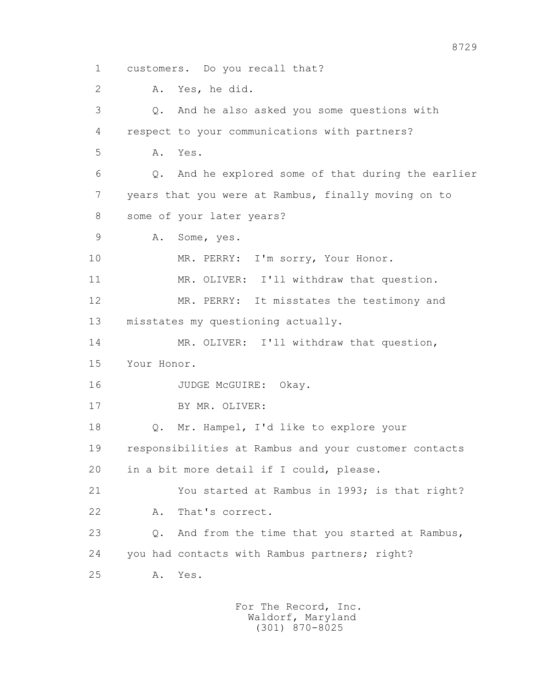1 customers. Do you recall that? 2 A. Yes, he did. 3 Q. And he also asked you some questions with 4 respect to your communications with partners? 5 A. Yes. 6 Q. And he explored some of that during the earlier 7 years that you were at Rambus, finally moving on to 8 some of your later years? 9 A. Some, yes. 10 MR. PERRY: I'm sorry, Your Honor. 11 MR. OLIVER: I'll withdraw that question. 12 MR. PERRY: It misstates the testimony and 13 misstates my questioning actually. 14 MR. OLIVER: I'll withdraw that question, 15 Your Honor. 16 JUDGE McGUIRE: Okay. 17 BY MR. OLIVER: 18 Q. Mr. Hampel, I'd like to explore your 19 responsibilities at Rambus and your customer contacts 20 in a bit more detail if I could, please. 21 You started at Rambus in 1993; is that right? 22 A. That's correct. 23 Q. And from the time that you started at Rambus, 24 you had contacts with Rambus partners; right? 25 A. Yes.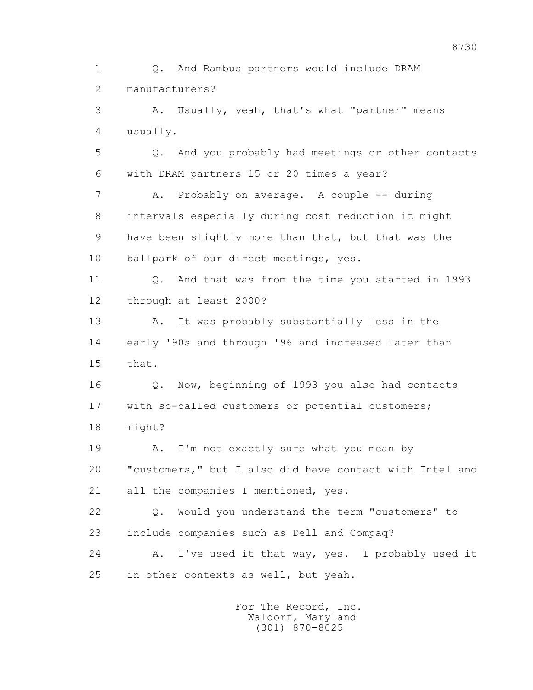1 Q. And Rambus partners would include DRAM 2 manufacturers? 3 A. Usually, yeah, that's what "partner" means 4 usually. 5 Q. And you probably had meetings or other contacts 6 with DRAM partners 15 or 20 times a year? 7 A. Probably on average. A couple -- during 8 intervals especially during cost reduction it might 9 have been slightly more than that, but that was the 10 ballpark of our direct meetings, yes. 11 Q. And that was from the time you started in 1993 12 through at least 2000? 13 A. It was probably substantially less in the 14 early '90s and through '96 and increased later than 15 that. 16 Q. Now, beginning of 1993 you also had contacts 17 with so-called customers or potential customers; 18 right? 19 A. I'm not exactly sure what you mean by 20 "customers," but I also did have contact with Intel and 21 all the companies I mentioned, yes. 22 Q. Would you understand the term "customers" to 23 include companies such as Dell and Compaq? 24 A. I've used it that way, yes. I probably used it 25 in other contexts as well, but yeah.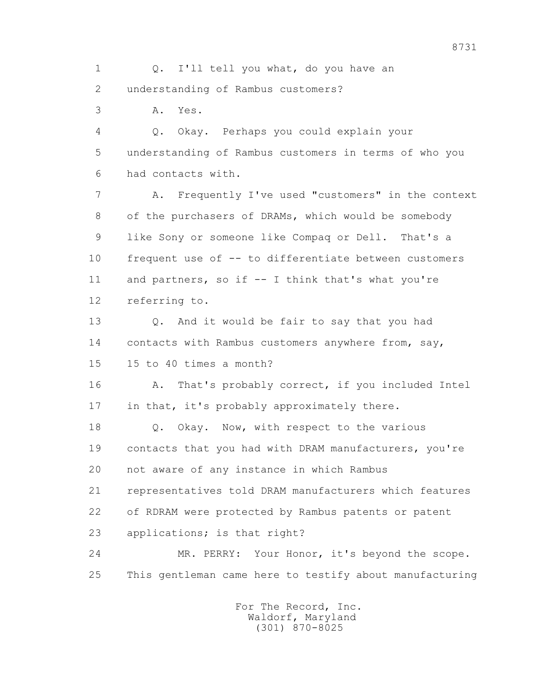1 Q. I'll tell you what, do you have an 2 understanding of Rambus customers?

3 A. Yes.

 4 Q. Okay. Perhaps you could explain your 5 understanding of Rambus customers in terms of who you 6 had contacts with.

 7 A. Frequently I've used "customers" in the context 8 of the purchasers of DRAMs, which would be somebody 9 like Sony or someone like Compaq or Dell. That's a 10 frequent use of -- to differentiate between customers 11 and partners, so if -- I think that's what you're 12 referring to.

 13 Q. And it would be fair to say that you had 14 contacts with Rambus customers anywhere from, say, 15 15 to 40 times a month?

 16 A. That's probably correct, if you included Intel 17 in that, it's probably approximately there.

18 Q. Okay. Now, with respect to the various 19 contacts that you had with DRAM manufacturers, you're 20 not aware of any instance in which Rambus 21 representatives told DRAM manufacturers which features

22 of RDRAM were protected by Rambus patents or patent

23 applications; is that right?

 24 MR. PERRY: Your Honor, it's beyond the scope. 25 This gentleman came here to testify about manufacturing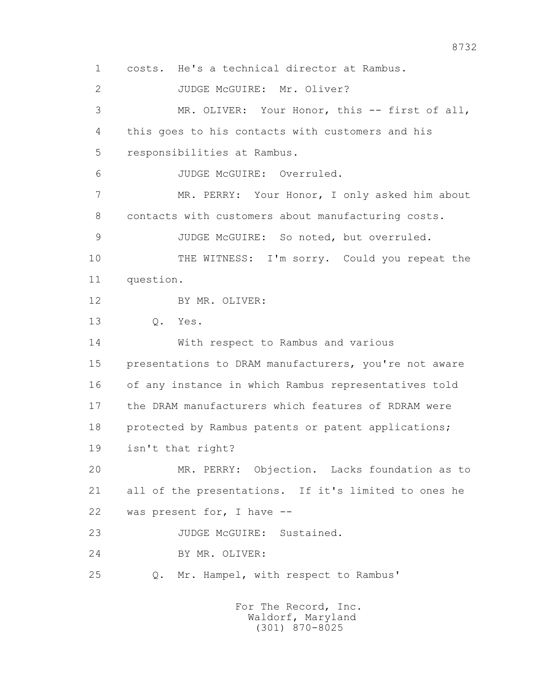1 costs. He's a technical director at Rambus. 2 JUDGE McGUIRE: Mr. Oliver? 3 MR. OLIVER: Your Honor, this -- first of all, 4 this goes to his contacts with customers and his 5 responsibilities at Rambus. 6 JUDGE McGUIRE: Overruled. 7 MR. PERRY: Your Honor, I only asked him about 8 contacts with customers about manufacturing costs. 9 JUDGE McGUIRE: So noted, but overruled. 10 THE WITNESS: I'm sorry. Could you repeat the 11 question. 12 BY MR. OLIVER: 13 Q. Yes. 14 With respect to Rambus and various 15 presentations to DRAM manufacturers, you're not aware 16 of any instance in which Rambus representatives told 17 the DRAM manufacturers which features of RDRAM were 18 protected by Rambus patents or patent applications; 19 isn't that right? 20 MR. PERRY: Objection. Lacks foundation as to 21 all of the presentations. If it's limited to ones he 22 was present for, I have -- 23 JUDGE McGUIRE: Sustained. 24 BY MR. OLIVER: 25 Q. Mr. Hampel, with respect to Rambus'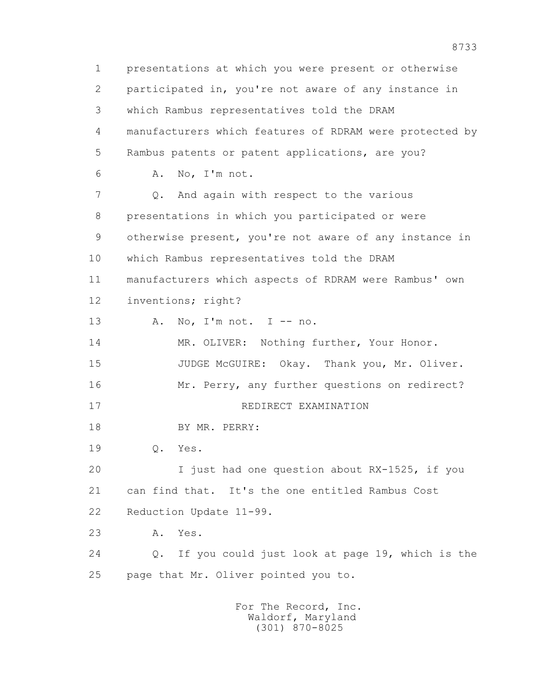1 presentations at which you were present or otherwise 2 participated in, you're not aware of any instance in 3 which Rambus representatives told the DRAM 4 manufacturers which features of RDRAM were protected by 5 Rambus patents or patent applications, are you? 6 A. No, I'm not. 7 Q. And again with respect to the various 8 presentations in which you participated or were 9 otherwise present, you're not aware of any instance in 10 which Rambus representatives told the DRAM 11 manufacturers which aspects of RDRAM were Rambus' own 12 inventions; right? 13 A. No, I'm not. I -- no. 14 MR. OLIVER: Nothing further, Your Honor. 15 JUDGE McGUIRE: Okay. Thank you, Mr. Oliver. 16 Mr. Perry, any further questions on redirect? 17 REDIRECT EXAMINATION 18 BY MR. PERRY: 19 Q. Yes. 20 I just had one question about RX-1525, if you 21 can find that. It's the one entitled Rambus Cost 22 Reduction Update 11-99. 23 A. Yes. 24 Q. If you could just look at page 19, which is the 25 page that Mr. Oliver pointed you to. For The Record, Inc. Waldorf, Maryland

(301) 870-8025

8733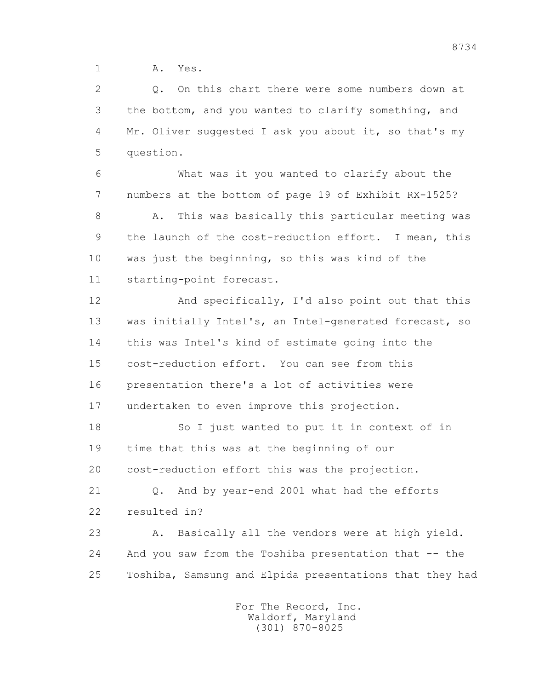1 A. Yes.

 2 Q. On this chart there were some numbers down at 3 the bottom, and you wanted to clarify something, and 4 Mr. Oliver suggested I ask you about it, so that's my 5 question.

 6 What was it you wanted to clarify about the 7 numbers at the bottom of page 19 of Exhibit RX-1525?

8 A. This was basically this particular meeting was 9 the launch of the cost-reduction effort. I mean, this 10 was just the beginning, so this was kind of the 11 starting-point forecast.

 12 And specifically, I'd also point out that this 13 was initially Intel's, an Intel-generated forecast, so 14 this was Intel's kind of estimate going into the 15 cost-reduction effort. You can see from this 16 presentation there's a lot of activities were 17 undertaken to even improve this projection.

 18 So I just wanted to put it in context of in 19 time that this was at the beginning of our 20 cost-reduction effort this was the projection.

 21 Q. And by year-end 2001 what had the efforts 22 resulted in?

 23 A. Basically all the vendors were at high yield. 24 And you saw from the Toshiba presentation that -- the 25 Toshiba, Samsung and Elpida presentations that they had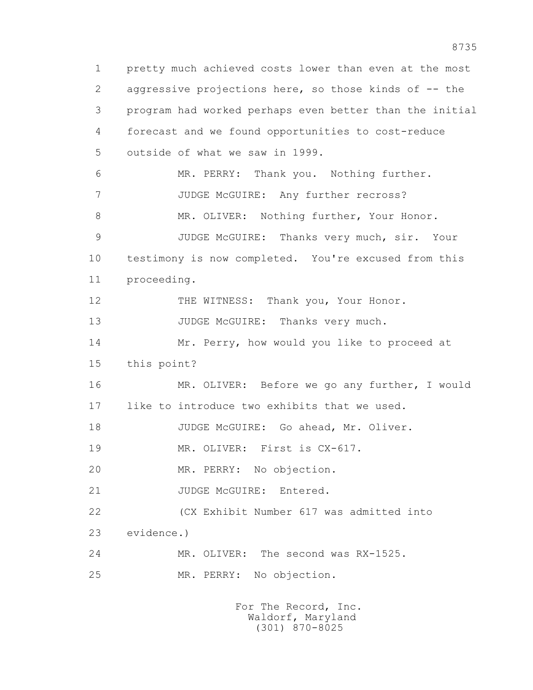1 pretty much achieved costs lower than even at the most 2 aggressive projections here, so those kinds of -- the 3 program had worked perhaps even better than the initial 4 forecast and we found opportunities to cost-reduce 5 outside of what we saw in 1999. 6 MR. PERRY: Thank you. Nothing further. 7 JUDGE McGUIRE: Any further recross? 8 MR. OLIVER: Nothing further, Your Honor. 9 JUDGE McGUIRE: Thanks very much, sir. Your 10 testimony is now completed. You're excused from this 11 proceeding. 12 THE WITNESS: Thank you, Your Honor. 13 JUDGE McGUIRE: Thanks very much. 14 Mr. Perry, how would you like to proceed at 15 this point? 16 MR. OLIVER: Before we go any further, I would 17 like to introduce two exhibits that we used. 18 JUDGE McGUIRE: Go ahead, Mr. Oliver. 19 MR. OLIVER: First is  $CX-617$ . 20 MR. PERRY: No objection. 21 JUDGE McGUIRE: Entered. 22 (CX Exhibit Number 617 was admitted into 23 evidence.) 24 MR. OLIVER: The second was RX-1525. 25 MR. PERRY: No objection.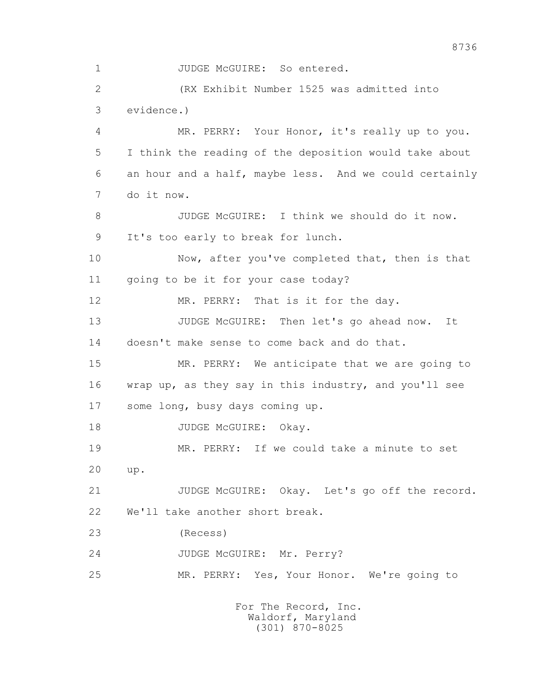1 JUDGE McGUIRE: So entered. 2 (RX Exhibit Number 1525 was admitted into 3 evidence.) 4 MR. PERRY: Your Honor, it's really up to you. 5 I think the reading of the deposition would take about 6 an hour and a half, maybe less. And we could certainly 7 do it now. 8 JUDGE McGUIRE: I think we should do it now. 9 It's too early to break for lunch. 10 Now, after you've completed that, then is that 11 going to be it for your case today? 12 MR. PERRY: That is it for the day. 13 JUDGE McGUIRE: Then let's go ahead now. It 14 doesn't make sense to come back and do that. 15 MR. PERRY: We anticipate that we are going to 16 wrap up, as they say in this industry, and you'll see 17 some long, busy days coming up. 18 JUDGE McGUIRE: Okay. 19 MR. PERRY: If we could take a minute to set 20 up. 21 JUDGE McGUIRE: Okay. Let's go off the record. 22 We'll take another short break. 23 (Recess) 24 JUDGE McGUIRE: Mr. Perry? 25 MR. PERRY: Yes, Your Honor. We're going to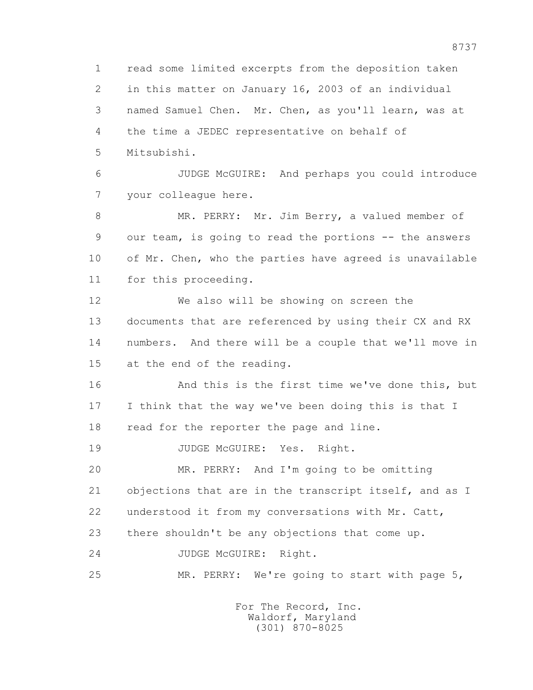1 read some limited excerpts from the deposition taken 2 in this matter on January 16, 2003 of an individual 3 named Samuel Chen. Mr. Chen, as you'll learn, was at 4 the time a JEDEC representative on behalf of 5 Mitsubishi.

 6 JUDGE McGUIRE: And perhaps you could introduce 7 your colleague here.

 8 MR. PERRY: Mr. Jim Berry, a valued member of 9 our team, is going to read the portions -- the answers 10 of Mr. Chen, who the parties have agreed is unavailable 11 for this proceeding.

 12 We also will be showing on screen the 13 documents that are referenced by using their CX and RX 14 numbers. And there will be a couple that we'll move in 15 at the end of the reading.

 16 And this is the first time we've done this, but 17 I think that the way we've been doing this is that I 18 read for the reporter the page and line.

19 JUDGE McGUIRE: Yes. Right.

 20 MR. PERRY: And I'm going to be omitting 21 objections that are in the transcript itself, and as I 22 understood it from my conversations with Mr. Catt,

23 there shouldn't be any objections that come up.

24 JUDGE McGUIRE: Right.

25 MR. PERRY: We're going to start with page 5,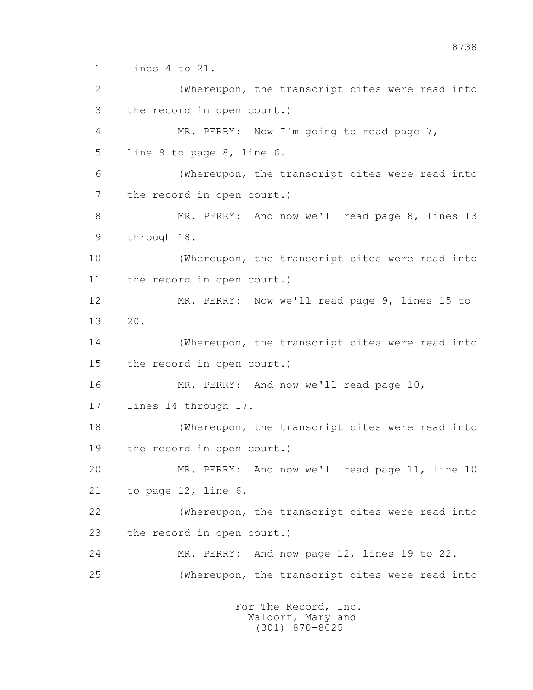1 lines 4 to 21.

 2 (Whereupon, the transcript cites were read into 3 the record in open court.) 4 MR. PERRY: Now I'm going to read page 7, 5 line 9 to page 8, line 6. 6 (Whereupon, the transcript cites were read into 7 the record in open court.) 8 MR. PERRY: And now we'll read page 8, lines 13 9 through 18. 10 (Whereupon, the transcript cites were read into 11 the record in open court.) 12 MR. PERRY: Now we'll read page 9, lines 15 to 13 20. 14 (Whereupon, the transcript cites were read into 15 the record in open court.) 16 MR. PERRY: And now we'll read page 10, 17 lines 14 through 17. 18 (Whereupon, the transcript cites were read into 19 the record in open court.) 20 MR. PERRY: And now we'll read page 11, line 10 21 to page 12, line 6. 22 (Whereupon, the transcript cites were read into 23 the record in open court.) 24 MR. PERRY: And now page 12, lines 19 to 22. 25 (Whereupon, the transcript cites were read into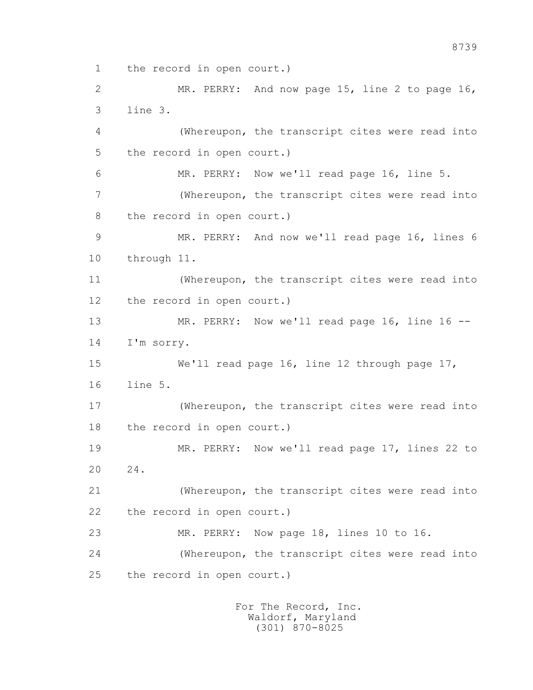1 the record in open court.)

 2 MR. PERRY: And now page 15, line 2 to page 16, 3 line 3. 4 (Whereupon, the transcript cites were read into 5 the record in open court.) 6 MR. PERRY: Now we'll read page 16, line 5. 7 (Whereupon, the transcript cites were read into 8 the record in open court.) 9 MR. PERRY: And now we'll read page 16, lines 6 10 through 11. 11 (Whereupon, the transcript cites were read into 12 the record in open court.) 13 MR. PERRY: Now we'll read page 16, line 16 -- 14 I'm sorry. 15 We'll read page 16, line 12 through page 17, 16 line 5. 17 (Whereupon, the transcript cites were read into 18 the record in open court.) 19 MR. PERRY: Now we'll read page 17, lines 22 to 20 24. 21 (Whereupon, the transcript cites were read into 22 the record in open court.) 23 MR. PERRY: Now page 18, lines 10 to 16. 24 (Whereupon, the transcript cites were read into 25 the record in open court.)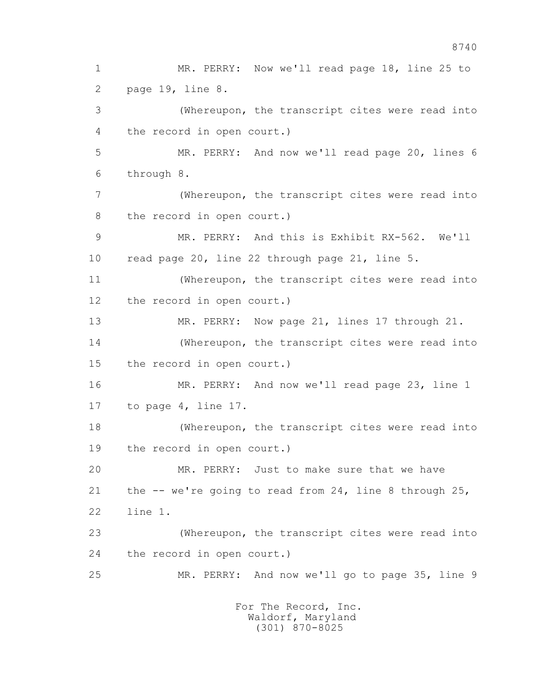1 MR. PERRY: Now we'll read page 18, line 25 to 2 page 19, line 8. 3 (Whereupon, the transcript cites were read into 4 the record in open court.) 5 MR. PERRY: And now we'll read page 20, lines 6 6 through 8. 7 (Whereupon, the transcript cites were read into 8 the record in open court.) 9 MR. PERRY: And this is Exhibit RX-562. We'll 10 read page 20, line 22 through page 21, line 5. 11 (Whereupon, the transcript cites were read into 12 the record in open court.) 13 MR. PERRY: Now page 21, lines 17 through 21. 14 (Whereupon, the transcript cites were read into 15 the record in open court.) 16 MR. PERRY: And now we'll read page 23, line 1 17 to page 4, line 17. 18 (Whereupon, the transcript cites were read into 19 the record in open court.) 20 MR. PERRY: Just to make sure that we have 21 the -- we're going to read from 24, line 8 through 25, 22 line 1. 23 (Whereupon, the transcript cites were read into 24 the record in open court.) 25 MR. PERRY: And now we'll go to page 35, line 9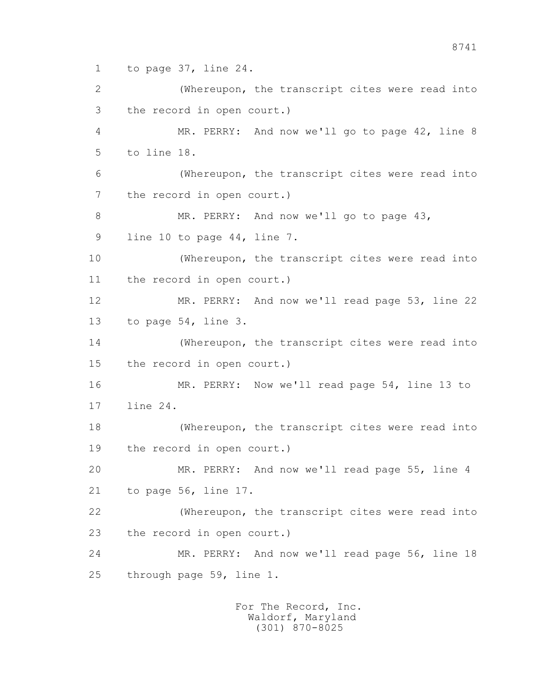1 to page 37, line 24.

 2 (Whereupon, the transcript cites were read into 3 the record in open court.) 4 MR. PERRY: And now we'll go to page 42, line 8 5 to line 18. 6 (Whereupon, the transcript cites were read into 7 the record in open court.) 8 MR. PERRY: And now we'll go to page 43, 9 line 10 to page 44, line 7. 10 (Whereupon, the transcript cites were read into 11 the record in open court.) 12 MR. PERRY: And now we'll read page 53, line 22 13 to page 54, line 3. 14 (Whereupon, the transcript cites were read into 15 the record in open court.) 16 MR. PERRY: Now we'll read page 54, line 13 to 17 line 24. 18 (Whereupon, the transcript cites were read into 19 the record in open court.) 20 MR. PERRY: And now we'll read page 55, line 4 21 to page 56, line 17. 22 (Whereupon, the transcript cites were read into 23 the record in open court.) 24 MR. PERRY: And now we'll read page 56, line 18 25 through page 59, line 1.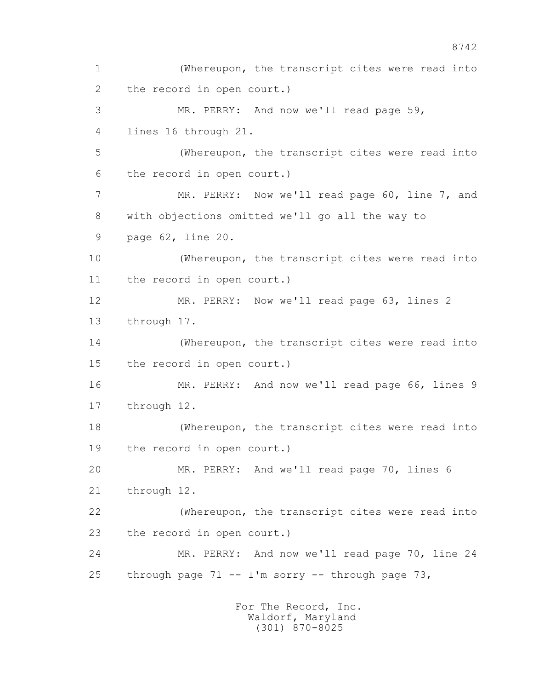1 (Whereupon, the transcript cites were read into 2 the record in open court.) 3 MR. PERRY: And now we'll read page 59, 4 lines 16 through 21. 5 (Whereupon, the transcript cites were read into 6 the record in open court.) 7 MR. PERRY: Now we'll read page 60, line 7, and 8 with objections omitted we'll go all the way to 9 page 62, line 20. 10 (Whereupon, the transcript cites were read into 11 the record in open court.) 12 MR. PERRY: Now we'll read page 63, lines 2 13 through 17. 14 (Whereupon, the transcript cites were read into 15 the record in open court.) 16 MR. PERRY: And now we'll read page 66, lines 9 17 through 12. 18 (Whereupon, the transcript cites were read into 19 the record in open court.) 20 MR. PERRY: And we'll read page 70, lines 6 21 through 12. 22 (Whereupon, the transcript cites were read into 23 the record in open court.) 24 MR. PERRY: And now we'll read page 70, line 24 25 through page  $71 - -1$ 'm sorry -- through page  $73$ , For The Record, Inc.

 Waldorf, Maryland (301) 870-8025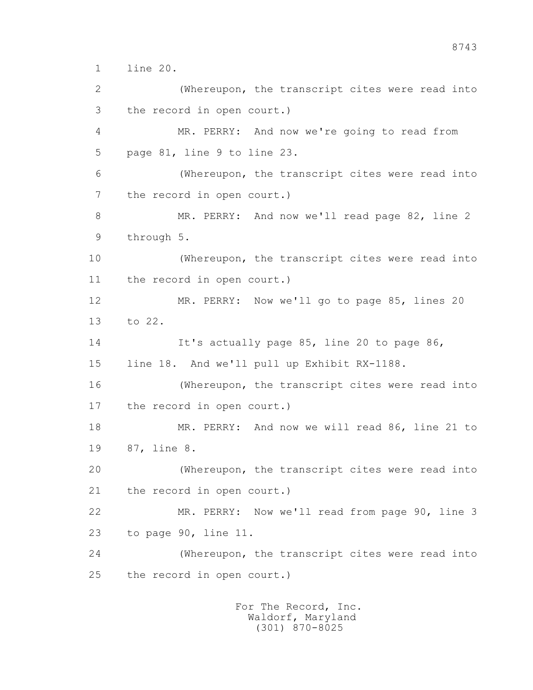1 line 20.

 2 (Whereupon, the transcript cites were read into 3 the record in open court.) 4 MR. PERRY: And now we're going to read from 5 page 81, line 9 to line 23. 6 (Whereupon, the transcript cites were read into 7 the record in open court.) 8 MR. PERRY: And now we'll read page 82, line 2 9 through 5. 10 (Whereupon, the transcript cites were read into 11 the record in open court.) 12 MR. PERRY: Now we'll go to page 85, lines 20 13 to 22. 14 It's actually page 85, line 20 to page 86, 15 line 18. And we'll pull up Exhibit RX-1188. 16 (Whereupon, the transcript cites were read into 17 the record in open court.) 18 MR. PERRY: And now we will read 86, line 21 to 19 87, line 8. 20 (Whereupon, the transcript cites were read into 21 the record in open court.) 22 MR. PERRY: Now we'll read from page 90, line 3 23 to page 90, line 11. 24 (Whereupon, the transcript cites were read into 25 the record in open court.)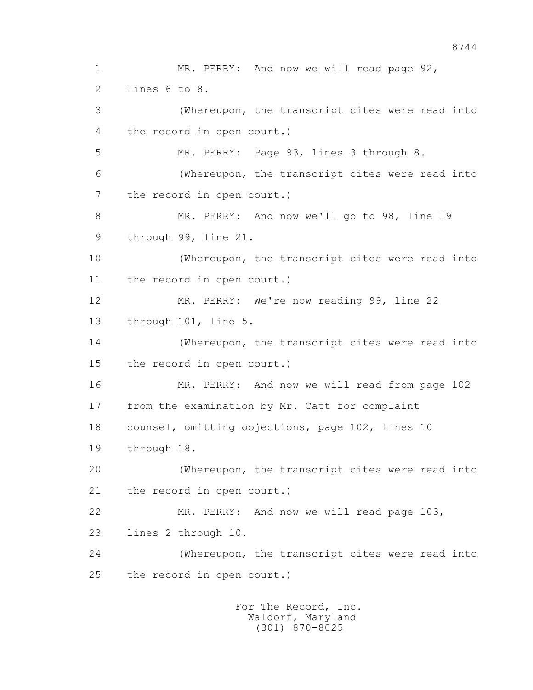1 MR. PERRY: And now we will read page 92, 2 lines 6 to 8. 3 (Whereupon, the transcript cites were read into 4 the record in open court.) 5 MR. PERRY: Page 93, lines 3 through 8. 6 (Whereupon, the transcript cites were read into 7 the record in open court.) 8 MR. PERRY: And now we'll go to 98, line 19 9 through 99, line 21. 10 (Whereupon, the transcript cites were read into 11 the record in open court.) 12 MR. PERRY: We're now reading 99, line 22 13 through 101, line 5. 14 (Whereupon, the transcript cites were read into 15 the record in open court.) 16 MR. PERRY: And now we will read from page 102 17 from the examination by Mr. Catt for complaint 18 counsel, omitting objections, page 102, lines 10 19 through 18. 20 (Whereupon, the transcript cites were read into 21 the record in open court.) 22 MR. PERRY: And now we will read page 103, 23 lines 2 through 10. 24 (Whereupon, the transcript cites were read into 25 the record in open court.)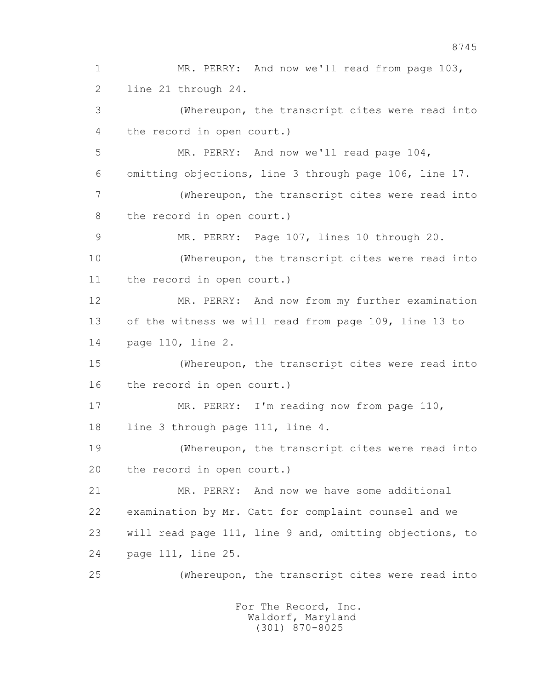1 MR. PERRY: And now we'll read from page 103, 2 line 21 through 24. 3 (Whereupon, the transcript cites were read into 4 the record in open court.) 5 MR. PERRY: And now we'll read page 104, 6 omitting objections, line 3 through page 106, line 17. 7 (Whereupon, the transcript cites were read into 8 the record in open court.) 9 MR. PERRY: Page 107, lines 10 through 20. 10 (Whereupon, the transcript cites were read into 11 the record in open court.) 12 MR. PERRY: And now from my further examination 13 of the witness we will read from page 109, line 13 to 14 page 110, line 2. 15 (Whereupon, the transcript cites were read into 16 the record in open court.) 17 MR. PERRY: I'm reading now from page 110, 18 line 3 through page 111, line 4. 19 (Whereupon, the transcript cites were read into 20 the record in open court.) 21 MR. PERRY: And now we have some additional 22 examination by Mr. Catt for complaint counsel and we 23 will read page 111, line 9 and, omitting objections, to 24 page 111, line 25. 25 (Whereupon, the transcript cites were read into For The Record, Inc.

 Waldorf, Maryland (301) 870-8025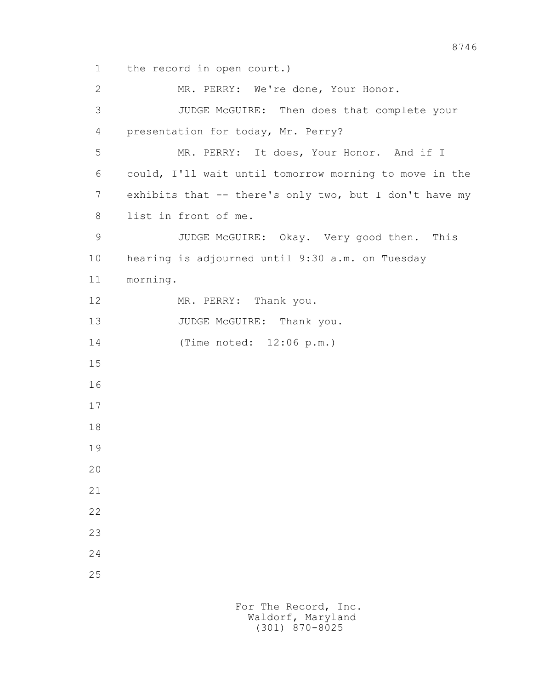1 the record in open court.)

 2 MR. PERRY: We're done, Your Honor. 3 JUDGE McGUIRE: Then does that complete your 4 presentation for today, Mr. Perry? 5 MR. PERRY: It does, Your Honor. And if I 6 could, I'll wait until tomorrow morning to move in the 7 exhibits that -- there's only two, but I don't have my 8 list in front of me. 9 JUDGE McGUIRE: Okay. Very good then. This 10 hearing is adjourned until 9:30 a.m. on Tuesday 11 morning. 12 MR. PERRY: Thank you. 13 JUDGE McGUIRE: Thank you. 14 (Time noted: 12:06 p.m.) 15 16 17 18 19 20 21 22 23 24 25